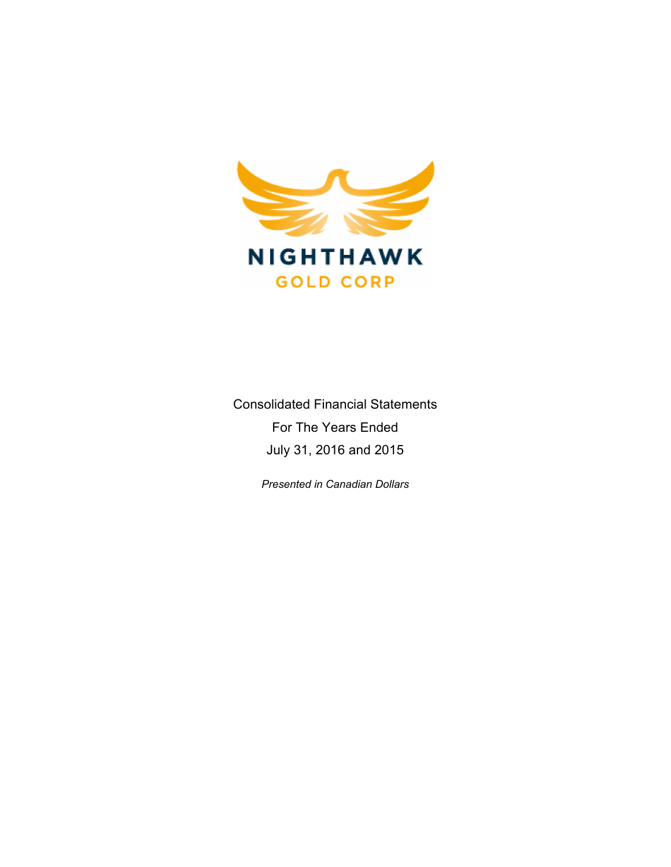

Consolidated Financial Statements For The Years Ended July 31, 2016 and 2015

*Presented in Canadian Dollars*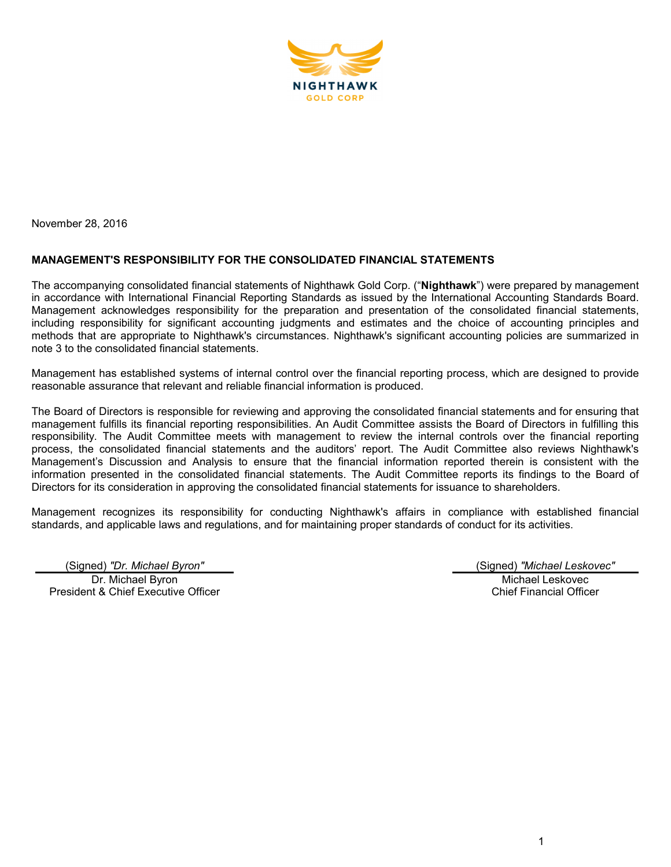

November 28, 2016

## **MANAGEMENT'S RESPONSIBILITY FOR THE CONSOLIDATED FINANCIAL STATEMENTS**

The accompanying consolidated financial statements of Nighthawk Gold Corp. ("**Nighthawk**") were prepared by management in accordance with International Financial Reporting Standards as issued by the International Accounting Standards Board. Management acknowledges responsibility for the preparation and presentation of the consolidated financial statements, including responsibility for significant accounting judgments and estimates and the choice of accounting principles and methods that are appropriate to Nighthawk's circumstances. Nighthawk's significant accounting policies are summarized in note 3 to the consolidated financial statements.

Management has established systems of internal control over the financial reporting process, which are designed to provide reasonable assurance that relevant and reliable financial information is produced.

The Board of Directors is responsible for reviewing and approving the consolidated financial statements and for ensuring that management fulfills its financial reporting responsibilities. An Audit Committee assists the Board of Directors in fulfilling this responsibility. The Audit Committee meets with management to review the internal controls over the financial reporting process, the consolidated financial statements and the auditors' report. The Audit Committee also reviews Nighthawk's Management's Discussion and Analysis to ensure that the financial information reported therein is consistent with the information presented in the consolidated financial statements. The Audit Committee reports its findings to the Board of Directors for its consideration in approving the consolidated financial statements for issuance to shareholders.

Management recognizes its responsibility for conducting Nighthawk's affairs in compliance with established financial standards, and applicable laws and regulations, and for maintaining proper standards of conduct for its activities.

(Signed) *"Dr. Michael Byron"* (Signed) *"Michael Leskovec"* Dr. Michael Byron President & Chief Executive Officer

Michael Leskovec Chief Financial Officer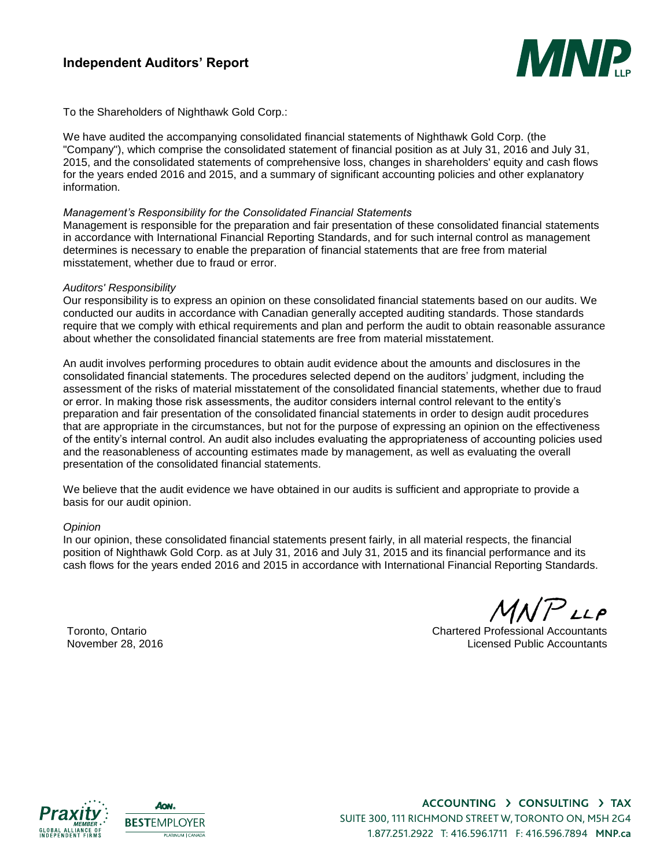

To the Shareholders of Nighthawk Gold Corp.:

We have audited the accompanying consolidated financial statements of Nighthawk Gold Corp. (the "Company"), which comprise the consolidated statement of financial position as at July 31, 2016 and July 31, 2015, and the consolidated statements of comprehensive loss, changes in shareholders' equity and cash flows for the years ended 2016 and 2015, and a summary of significant accounting policies and other explanatory information.

## *Management's Responsibility for the Consolidated Financial Statements*

Management is responsible for the preparation and fair presentation of these consolidated financial statements in accordance with International Financial Reporting Standards, and for such internal control as management determines is necessary to enable the preparation of financial statements that are free from material misstatement, whether due to fraud or error.

#### *Auditors' Responsibility*

Our responsibility is to express an opinion on these consolidated financial statements based on our audits. We conducted our audits in accordance with Canadian generally accepted auditing standards. Those standards require that we comply with ethical requirements and plan and perform the audit to obtain reasonable assurance about whether the consolidated financial statements are free from material misstatement.

An audit involves performing procedures to obtain audit evidence about the amounts and disclosures in the consolidated financial statements. The procedures selected depend on the auditors' judgment, including the assessment of the risks of material misstatement of the consolidated financial statements, whether due to fraud or error. In making those risk assessments, the auditor considers internal control relevant to the entity's preparation and fair presentation of the consolidated financial statements in order to design audit procedures that are appropriate in the circumstances, but not for the purpose of expressing an opinion on the effectiveness of the entity's internal control. An audit also includes evaluating the appropriateness of accounting policies used and the reasonableness of accounting estimates made by management, as well as evaluating the overall presentation of the consolidated financial statements.

We believe that the audit evidence we have obtained in our audits is sufficient and appropriate to provide a basis for our audit opinion.

## *Opinion*

In our opinion, these consolidated financial statements present fairly, in all material respects, the financial position of Nighthawk Gold Corp. as at July 31, 2016 and July 31, 2015 and its financial performance and its cash flows for the years ended 2016 and 2015 in accordance with International Financial Reporting Standards.

 $MINPLP$ 

Toronto, Ontario Chartered Professional Accountants November 28, 2016 Licensed Public Accountants





ACCOUNTING > CONSULTING > TAX SUITE 300, 111 RICHMOND STREET W, TORONTO ON, M5H 2G4 1.877.251.2922 T: 416.596.1711 F: 416.596.7894 **MNP.ca**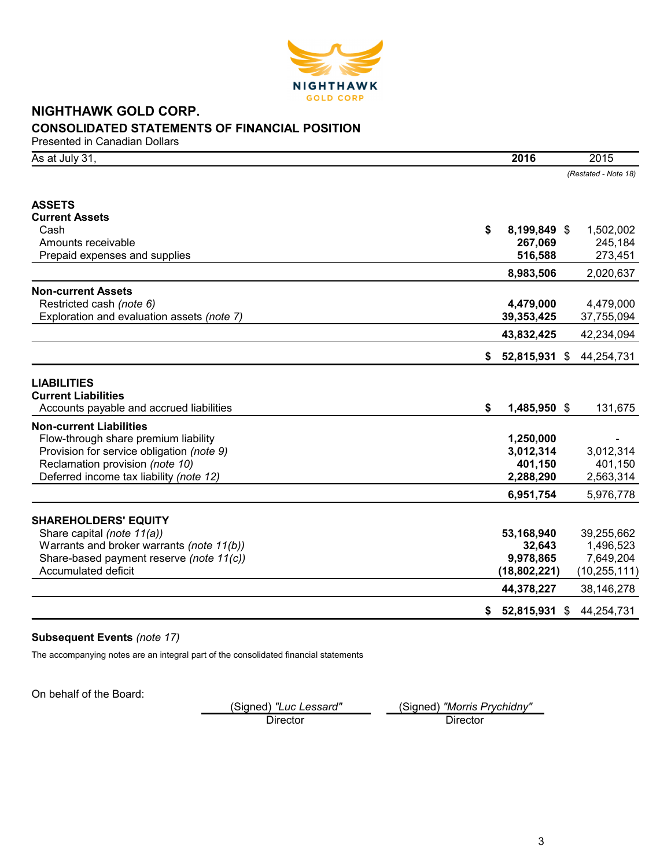

# **NIGHTHAWK GOLD CORP. CONSOLIDATED STATEMENTS OF FINANCIAL POSITION**

Presented in Canadian Dollars

| As at July 31,                             | 2016               | 2015                 |
|--------------------------------------------|--------------------|----------------------|
|                                            |                    | (Restated - Note 18) |
| <b>ASSETS</b>                              |                    |                      |
| <b>Current Assets</b>                      |                    |                      |
| Cash                                       | \$<br>8,199,849 \$ | 1,502,002            |
| Amounts receivable                         | 267,069            | 245,184              |
| Prepaid expenses and supplies              | 516,588            | 273,451              |
|                                            | 8,983,506          | 2,020,637            |
| <b>Non-current Assets</b>                  |                    |                      |
| Restricted cash (note 6)                   | 4,479,000          | 4,479,000            |
| Exploration and evaluation assets (note 7) | 39,353,425         | 37,755,094           |
|                                            | 43,832,425         | 42,234,094           |
|                                            | $$52,815,931$ \$   | 44,254,731           |
|                                            |                    |                      |
| <b>LIABILITIES</b>                         |                    |                      |
| <b>Current Liabilities</b>                 |                    |                      |
| Accounts payable and accrued liabilities   | \$<br>1,485,950 \$ | 131,675              |
| <b>Non-current Liabilities</b>             |                    |                      |
| Flow-through share premium liability       | 1,250,000          |                      |
| Provision for service obligation (note 9)  | 3,012,314          | 3,012,314            |
| Reclamation provision (note 10)            | 401,150            | 401,150              |
| Deferred income tax liability (note 12)    | 2,288,290          | 2,563,314            |
|                                            | 6,951,754          | 5,976,778            |
| <b>SHAREHOLDERS' EQUITY</b>                |                    |                      |
| Share capital (note 11(a))                 | 53,168,940         | 39,255,662           |
| Warrants and broker warrants (note 11(b))  | 32,643             | 1,496,523            |
| Share-based payment reserve (note 11(c))   | 9,978,865          | 7,649,204            |
| Accumulated deficit                        | (18, 802, 221)     | (10, 255, 111)       |
|                                            | 44,378,227         | 38,146,278           |
|                                            |                    |                      |
|                                            | $$52,815,931$ \$   | 44,254,731           |

# **Subsequent Events** *(note 17)*

The accompanying notes are an integral part of the consolidated financial statements

On behalf of the Board:

(Signed) *"Luc Lessard"* (Signed) *"Morris Prychidny"* Director Director Director

3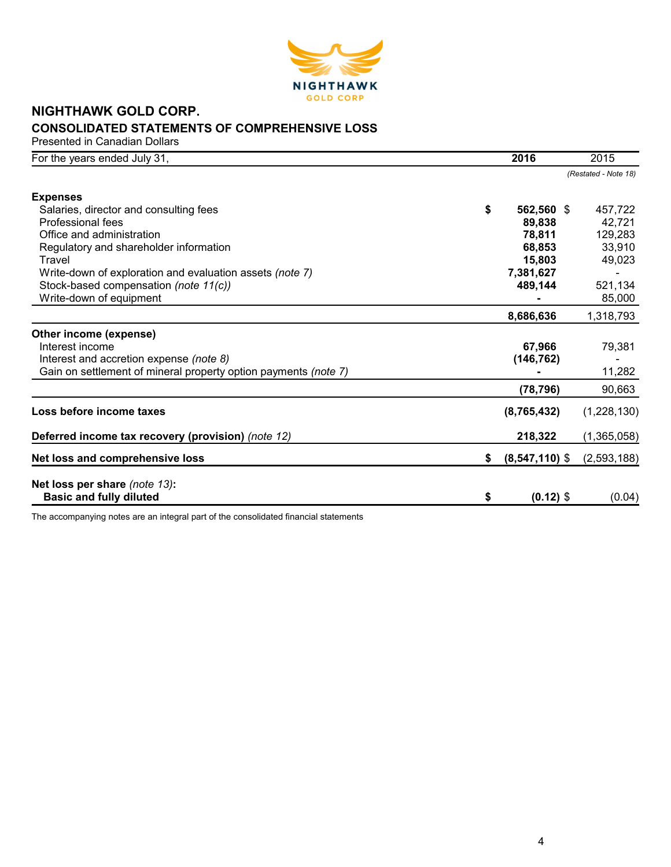

# **NIGHTHAWK GOLD CORP. CONSOLIDATED STATEMENTS OF COMPREHENSIVE LOSS**

Presented in Canadian Dollars

| (Restated - Note 18)<br>457,722<br>42,721<br>129,283 |
|------------------------------------------------------|
|                                                      |
|                                                      |
|                                                      |
|                                                      |
|                                                      |
| 33,910                                               |
| 49,023                                               |
|                                                      |
| 521,134                                              |
| 85,000                                               |
| 1,318,793                                            |
|                                                      |
| 79,381                                               |
|                                                      |
| 11,282                                               |
| 90,663                                               |
| (1,228,130)                                          |
| (1,365,058)                                          |
| (2,593,188)                                          |
|                                                      |
| (0.04)                                               |
|                                                      |

The accompanying notes are an integral part of the consolidated financial statements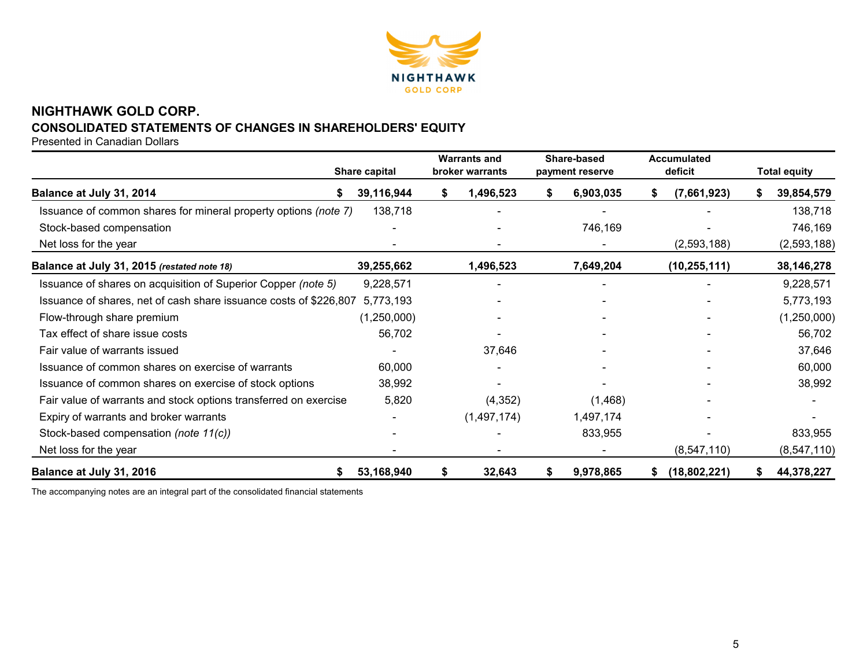

# **NIGHTHAWK GOLD CORP. CONSOLIDATED STATEMENTS OF CHANGES IN SHAREHOLDERS' EQUITY**

Presented in Canadian Dollars

|                                                                   | Share capital | <b>Warrants and</b><br>broker warrants | Share-based<br>payment reserve | <b>Accumulated</b><br>deficit | <b>Total equity</b> |
|-------------------------------------------------------------------|---------------|----------------------------------------|--------------------------------|-------------------------------|---------------------|
| Balance at July 31, 2014                                          | 39,116,944    | 1,496,523<br>S.                        | 6,903,035<br>S.                | (7,661,923)<br>S.             | 39,854,579          |
| Issuance of common shares for mineral property options (note 7)   | 138,718       |                                        |                                |                               | 138,718             |
| Stock-based compensation                                          |               |                                        | 746,169                        |                               | 746,169             |
| Net loss for the year                                             |               |                                        |                                | (2,593,188)                   | (2, 593, 188)       |
| Balance at July 31, 2015 (restated note 18)                       | 39,255,662    | 1,496,523                              | 7,649,204                      | (10, 255, 111)                | 38, 146, 278        |
| Issuance of shares on acquisition of Superior Copper (note 5)     | 9,228,571     |                                        |                                |                               | 9,228,571           |
| Issuance of shares, net of cash share issuance costs of \$226,807 | 5,773,193     |                                        |                                |                               | 5,773,193           |
| Flow-through share premium                                        | (1,250,000)   |                                        |                                |                               | (1, 250, 000)       |
| Tax effect of share issue costs                                   | 56,702        |                                        |                                |                               | 56,702              |
| Fair value of warrants issued                                     |               | 37,646                                 |                                |                               | 37,646              |
| Issuance of common shares on exercise of warrants                 | 60,000        |                                        |                                |                               | 60,000              |
| Issuance of common shares on exercise of stock options            | 38,992        |                                        |                                |                               | 38,992              |
| Fair value of warrants and stock options transferred on exercise  | 5,820         | (4,352)                                | (1,468)                        |                               |                     |
| Expiry of warrants and broker warrants                            |               | (1,497,174)                            | 1,497,174                      |                               |                     |
| Stock-based compensation (note 11(c))                             |               |                                        | 833,955                        |                               | 833,955             |
| Net loss for the year                                             |               |                                        |                                | (8, 547, 110)                 | (8, 547, 110)       |
| Balance at July 31, 2016                                          | 53,168,940    | \$<br>32,643                           | 9,978,865<br>S.                | (18, 802, 221)<br>S.          | 44,378,227          |

The accompanying notes are an integral part of the consolidated financial statements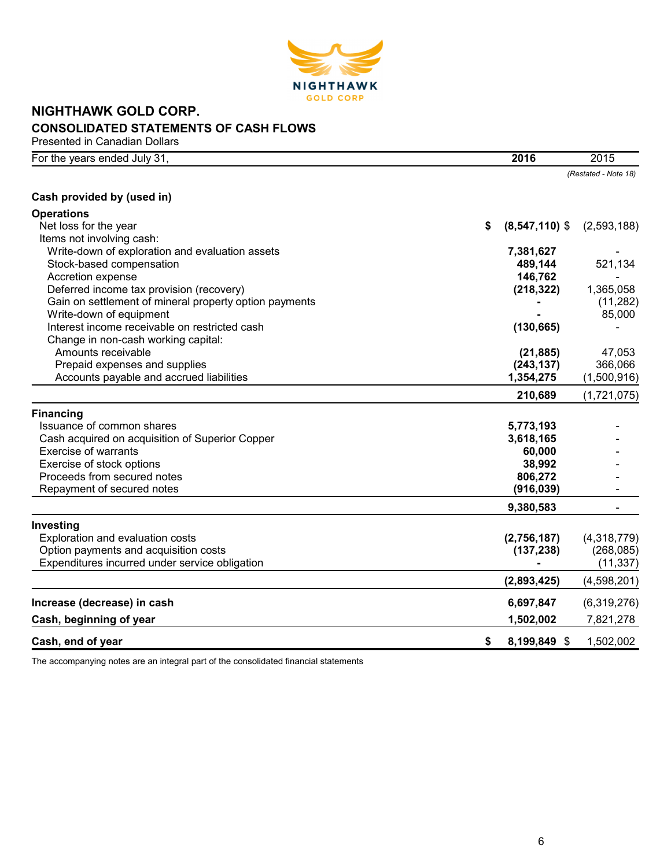

# **NIGHTHAWK GOLD CORP. CONSOLIDATED STATEMENTS OF CASH FLOWS**

Presented in Canadian Dollars

| For the years ended July 31,                           | 2016                   | 2015                 |
|--------------------------------------------------------|------------------------|----------------------|
|                                                        |                        | (Restated - Note 18) |
| Cash provided by (used in)                             |                        |                      |
| <b>Operations</b>                                      |                        |                      |
| Net loss for the year                                  | \$<br>$(8,547,110)$ \$ | (2,593,188)          |
| Items not involving cash:                              |                        |                      |
| Write-down of exploration and evaluation assets        | 7,381,627              |                      |
| Stock-based compensation                               | 489,144                | 521,134              |
| Accretion expense                                      | 146,762                |                      |
| Deferred income tax provision (recovery)               | (218, 322)             | 1,365,058            |
| Gain on settlement of mineral property option payments |                        | (11, 282)            |
| Write-down of equipment                                |                        | 85,000               |
| Interest income receivable on restricted cash          | (130, 665)             |                      |
| Change in non-cash working capital:                    |                        |                      |
| Amounts receivable                                     | (21, 885)              | 47,053               |
| Prepaid expenses and supplies                          | (243, 137)             | 366,066              |
| Accounts payable and accrued liabilities               | 1,354,275              | (1,500,916)          |
|                                                        | 210,689                | (1,721,075)          |
| <b>Financing</b>                                       |                        |                      |
| Issuance of common shares                              | 5,773,193              |                      |
| Cash acquired on acquisition of Superior Copper        | 3,618,165              |                      |
| <b>Exercise of warrants</b>                            | 60,000                 |                      |
| Exercise of stock options                              | 38,992                 |                      |
| Proceeds from secured notes                            | 806,272                |                      |
| Repayment of secured notes                             | (916, 039)             |                      |
|                                                        | 9,380,583              |                      |
| Investing                                              |                        |                      |
| Exploration and evaluation costs                       | (2,756,187)            | (4,318,779)          |
| Option payments and acquisition costs                  | (137, 238)             | (268, 085)           |
| Expenditures incurred under service obligation         |                        | (11, 337)            |
|                                                        | (2,893,425)            | (4,598,201)          |
| Increase (decrease) in cash                            | 6,697,847              | (6,319,276)          |
| Cash, beginning of year                                | 1,502,002              | 7,821,278            |
| Cash, end of year                                      | \$<br>8,199,849 \$     | 1,502,002            |
|                                                        |                        |                      |

The accompanying notes are an integral part of the consolidated financial statements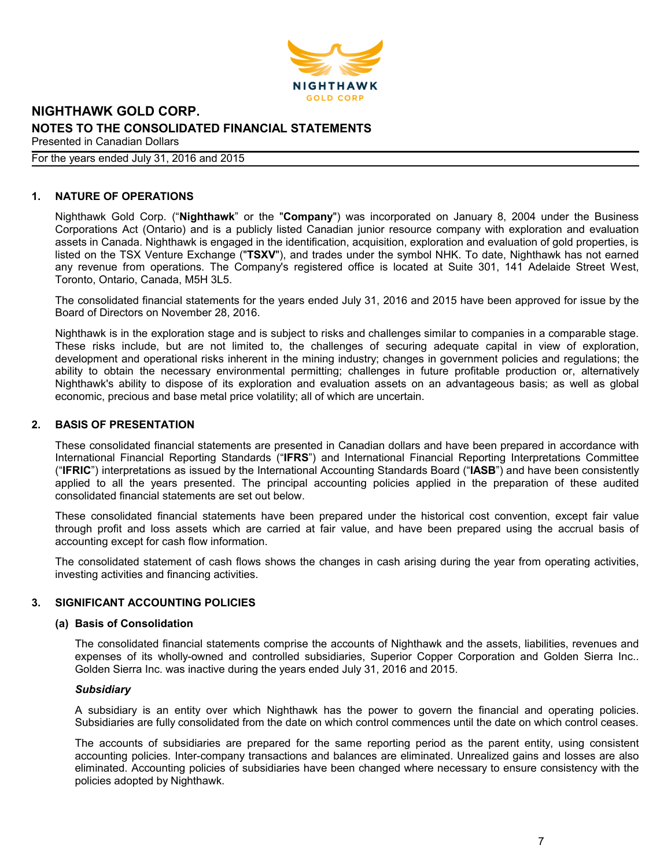

#### For the years ended July 31, 2016 and 2015

## **1. NATURE OF OPERATIONS**

Nighthawk Gold Corp. ("**Nighthawk**" or the "**Company**") was incorporated on January 8, 2004 under the Business Corporations Act (Ontario) and is a publicly listed Canadian junior resource company with exploration and evaluation assets in Canada. Nighthawk is engaged in the identification, acquisition, exploration and evaluation of gold properties, is listed on the TSX Venture Exchange ("**TSXV**"), and trades under the symbol NHK. To date, Nighthawk has not earned any revenue from operations. The Company's registered office is located at Suite 301, 141 Adelaide Street West, Toronto, Ontario, Canada, M5H 3L5.

The consolidated financial statements for the years ended July 31, 2016 and 2015 have been approved for issue by the Board of Directors on November 28, 2016.

Nighthawk is in the exploration stage and is subject to risks and challenges similar to companies in a comparable stage. These risks include, but are not limited to, the challenges of securing adequate capital in view of exploration, development and operational risks inherent in the mining industry; changes in government policies and regulations; the ability to obtain the necessary environmental permitting; challenges in future profitable production or, alternatively Nighthawk's ability to dispose of its exploration and evaluation assets on an advantageous basis; as well as global economic, precious and base metal price volatility; all of which are uncertain.

## **2. BASIS OF PRESENTATION**

These consolidated financial statements are presented in Canadian dollars and have been prepared in accordance with International Financial Reporting Standards ("**IFRS**") and International Financial Reporting Interpretations Committee ("**IFRIC**") interpretations as issued by the International Accounting Standards Board ("**IASB**") and have been consistently applied to all the years presented. The principal accounting policies applied in the preparation of these audited consolidated financial statements are set out below.

These consolidated financial statements have been prepared under the historical cost convention, except fair value through profit and loss assets which are carried at fair value, and have been prepared using the accrual basis of accounting except for cash flow information.

The consolidated statement of cash flows shows the changes in cash arising during the year from operating activities, investing activities and financing activities.

## **3. SIGNIFICANT ACCOUNTING POLICIES**

#### **(a) Basis of Consolidation**

The consolidated financial statements comprise the accounts of Nighthawk and the assets, liabilities, revenues and expenses of its wholly-owned and controlled subsidiaries, Superior Copper Corporation and Golden Sierra Inc.. Golden Sierra Inc. was inactive during the years ended July 31, 2016 and 2015.

#### *Subsidiary*

A subsidiary is an entity over which Nighthawk has the power to govern the financial and operating policies. Subsidiaries are fully consolidated from the date on which control commences until the date on which control ceases.

The accounts of subsidiaries are prepared for the same reporting period as the parent entity, using consistent accounting policies. Inter-company transactions and balances are eliminated. Unrealized gains and losses are also eliminated. Accounting policies of subsidiaries have been changed where necessary to ensure consistency with the policies adopted by Nighthawk.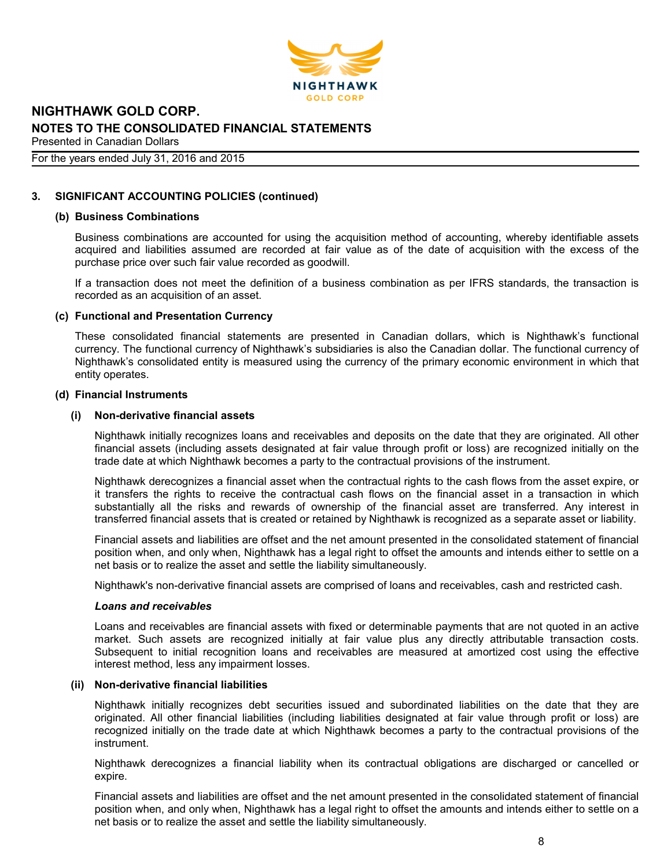

#### For the years ended July 31, 2016 and 2015

## **3. SIGNIFICANT ACCOUNTING POLICIES (continued)**

#### **(b) Business Combinations**

Business combinations are accounted for using the acquisition method of accounting, whereby identifiable assets acquired and liabilities assumed are recorded at fair value as of the date of acquisition with the excess of the purchase price over such fair value recorded as goodwill.

If a transaction does not meet the definition of a business combination as per IFRS standards, the transaction is recorded as an acquisition of an asset.

#### **(c) Functional and Presentation Currency**

These consolidated financial statements are presented in Canadian dollars, which is Nighthawk's functional currency. The functional currency of Nighthawk's subsidiaries is also the Canadian dollar. The functional currency of Nighthawk's consolidated entity is measured using the currency of the primary economic environment in which that entity operates.

#### **(d) Financial Instruments**

#### **(i) Non-derivative financial assets**

Nighthawk initially recognizes loans and receivables and deposits on the date that they are originated. All other financial assets (including assets designated at fair value through profit or loss) are recognized initially on the trade date at which Nighthawk becomes a party to the contractual provisions of the instrument.

Nighthawk derecognizes a financial asset when the contractual rights to the cash flows from the asset expire, or it transfers the rights to receive the contractual cash flows on the financial asset in a transaction in which substantially all the risks and rewards of ownership of the financial asset are transferred. Any interest in transferred financial assets that is created or retained by Nighthawk is recognized as a separate asset or liability.

Financial assets and liabilities are offset and the net amount presented in the consolidated statement of financial position when, and only when, Nighthawk has a legal right to offset the amounts and intends either to settle on a net basis or to realize the asset and settle the liability simultaneously.

Nighthawk's non-derivative financial assets are comprised of loans and receivables, cash and restricted cash.

#### *Loans and receivables*

Loans and receivables are financial assets with fixed or determinable payments that are not quoted in an active market. Such assets are recognized initially at fair value plus any directly attributable transaction costs. Subsequent to initial recognition loans and receivables are measured at amortized cost using the effective interest method, less any impairment losses.

#### **(ii) Non-derivative financial liabilities**

Nighthawk initially recognizes debt securities issued and subordinated liabilities on the date that they are originated. All other financial liabilities (including liabilities designated at fair value through profit or loss) are recognized initially on the trade date at which Nighthawk becomes a party to the contractual provisions of the instrument.

Nighthawk derecognizes a financial liability when its contractual obligations are discharged or cancelled or expire.

Financial assets and liabilities are offset and the net amount presented in the consolidated statement of financial position when, and only when, Nighthawk has a legal right to offset the amounts and intends either to settle on a net basis or to realize the asset and settle the liability simultaneously.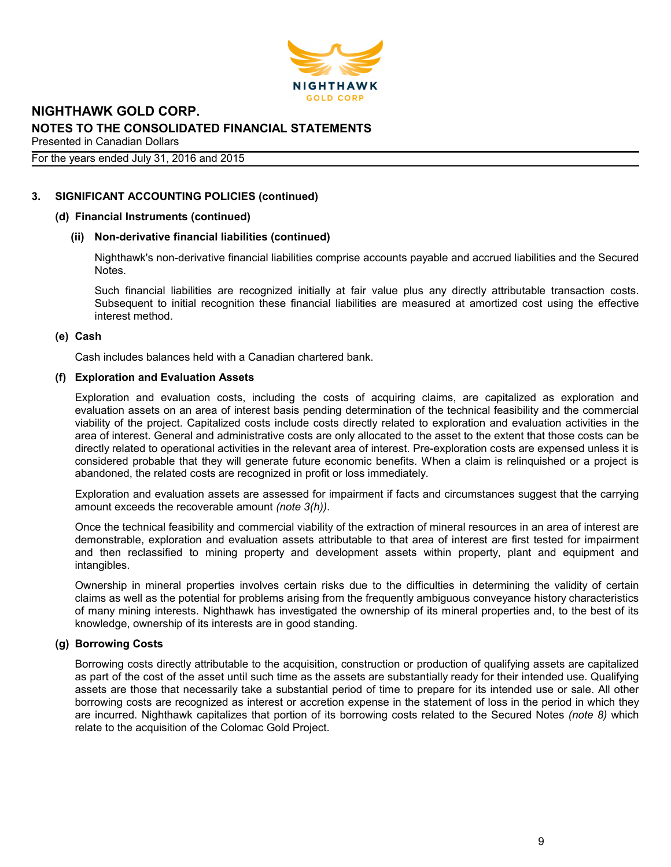

For the years ended July 31, 2016 and 2015

# **3. SIGNIFICANT ACCOUNTING POLICIES (continued)**

#### **(d) Financial Instruments (continued)**

## **(ii) Non-derivative financial liabilities (continued)**

Nighthawk's non-derivative financial liabilities comprise accounts payable and accrued liabilities and the Secured Notes.

Such financial liabilities are recognized initially at fair value plus any directly attributable transaction costs. Subsequent to initial recognition these financial liabilities are measured at amortized cost using the effective interest method.

#### **(e) Cash**

Cash includes balances held with a Canadian chartered bank.

#### **(f) Exploration and Evaluation Assets**

Exploration and evaluation costs, including the costs of acquiring claims, are capitalized as exploration and evaluation assets on an area of interest basis pending determination of the technical feasibility and the commercial viability of the project. Capitalized costs include costs directly related to exploration and evaluation activities in the area of interest. General and administrative costs are only allocated to the asset to the extent that those costs can be directly related to operational activities in the relevant area of interest. Pre-exploration costs are expensed unless it is considered probable that they will generate future economic benefits. When a claim is relinquished or a project is abandoned, the related costs are recognized in profit or loss immediately.

Exploration and evaluation assets are assessed for impairment if facts and circumstances suggest that the carrying amount exceeds the recoverable amount *(note 3(h))*.

Once the technical feasibility and commercial viability of the extraction of mineral resources in an area of interest are demonstrable, exploration and evaluation assets attributable to that area of interest are first tested for impairment and then reclassified to mining property and development assets within property, plant and equipment and intangibles.

Ownership in mineral properties involves certain risks due to the difficulties in determining the validity of certain claims as well as the potential for problems arising from the frequently ambiguous conveyance history characteristics of many mining interests. Nighthawk has investigated the ownership of its mineral properties and, to the best of its knowledge, ownership of its interests are in good standing.

## **(g) Borrowing Costs**

Borrowing costs directly attributable to the acquisition, construction or production of qualifying assets are capitalized as part of the cost of the asset until such time as the assets are substantially ready for their intended use. Qualifying assets are those that necessarily take a substantial period of time to prepare for its intended use or sale. All other borrowing costs are recognized as interest or accretion expense in the statement of loss in the period in which they are incurred. Nighthawk capitalizes that portion of its borrowing costs related to the Secured Notes *(note 8)* which relate to the acquisition of the Colomac Gold Project.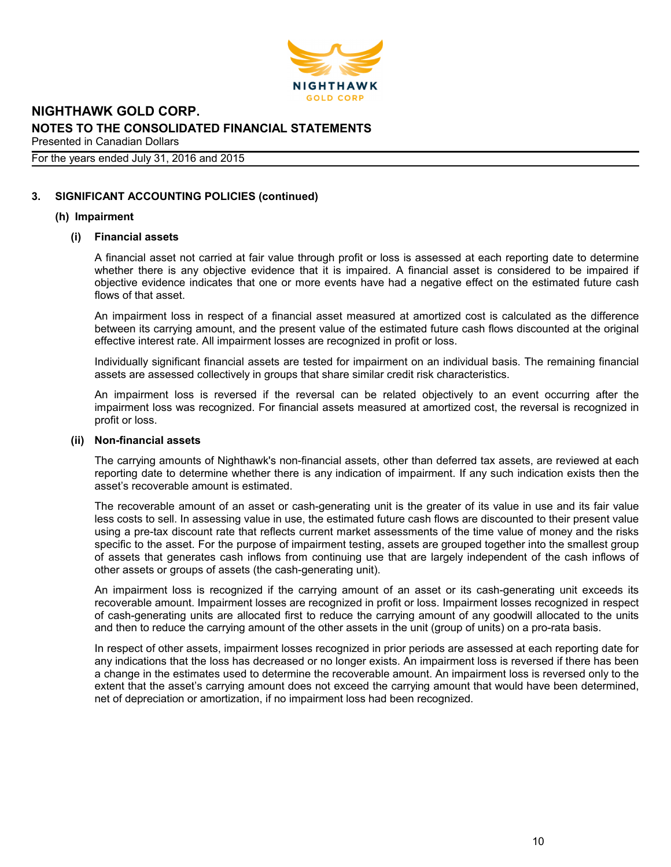

For the years ended July 31, 2016 and 2015

## **3. SIGNIFICANT ACCOUNTING POLICIES (continued)**

#### **(h) Impairment**

## **(i) Financial assets**

A financial asset not carried at fair value through profit or loss is assessed at each reporting date to determine whether there is any objective evidence that it is impaired. A financial asset is considered to be impaired if objective evidence indicates that one or more events have had a negative effect on the estimated future cash flows of that asset.

An impairment loss in respect of a financial asset measured at amortized cost is calculated as the difference between its carrying amount, and the present value of the estimated future cash flows discounted at the original effective interest rate. All impairment losses are recognized in profit or loss.

Individually significant financial assets are tested for impairment on an individual basis. The remaining financial assets are assessed collectively in groups that share similar credit risk characteristics.

An impairment loss is reversed if the reversal can be related objectively to an event occurring after the impairment loss was recognized. For financial assets measured at amortized cost, the reversal is recognized in profit or loss.

## **(ii) Non-financial assets**

The carrying amounts of Nighthawk's non-financial assets, other than deferred tax assets, are reviewed at each reporting date to determine whether there is any indication of impairment. If any such indication exists then the asset's recoverable amount is estimated.

The recoverable amount of an asset or cash-generating unit is the greater of its value in use and its fair value less costs to sell. In assessing value in use, the estimated future cash flows are discounted to their present value using a pre-tax discount rate that reflects current market assessments of the time value of money and the risks specific to the asset. For the purpose of impairment testing, assets are grouped together into the smallest group of assets that generates cash inflows from continuing use that are largely independent of the cash inflows of other assets or groups of assets (the cash-generating unit).

An impairment loss is recognized if the carrying amount of an asset or its cash-generating unit exceeds its recoverable amount. Impairment losses are recognized in profit or loss. Impairment losses recognized in respect of cash-generating units are allocated first to reduce the carrying amount of any goodwill allocated to the units and then to reduce the carrying amount of the other assets in the unit (group of units) on a pro-rata basis.

In respect of other assets, impairment losses recognized in prior periods are assessed at each reporting date for any indications that the loss has decreased or no longer exists. An impairment loss is reversed if there has been a change in the estimates used to determine the recoverable amount. An impairment loss is reversed only to the extent that the asset's carrying amount does not exceed the carrying amount that would have been determined, net of depreciation or amortization, if no impairment loss had been recognized.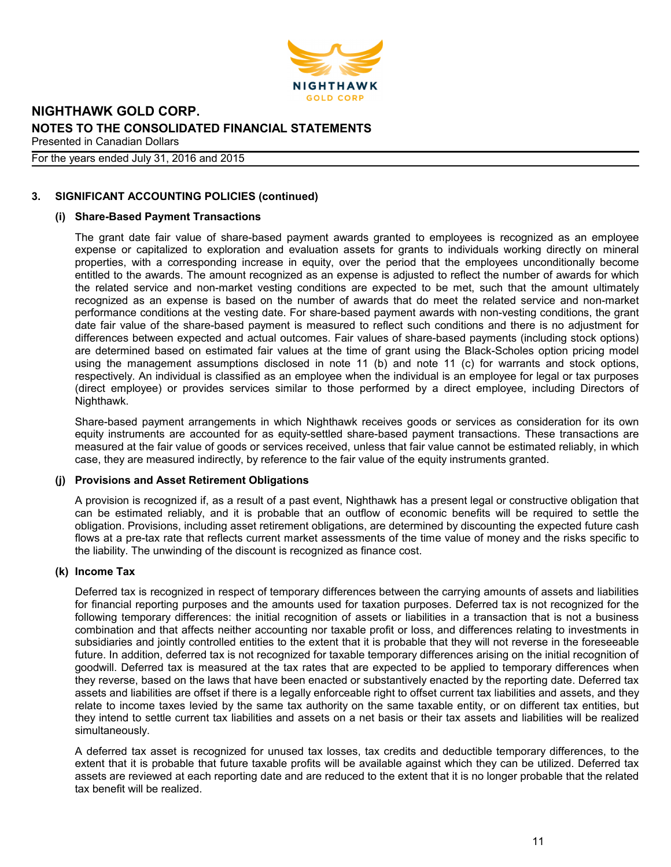

#### For the years ended July 31, 2016 and 2015

# **3. SIGNIFICANT ACCOUNTING POLICIES (continued)**

## **(i) Share-Based Payment Transactions**

The grant date fair value of share-based payment awards granted to employees is recognized as an employee expense or capitalized to exploration and evaluation assets for grants to individuals working directly on mineral properties, with a corresponding increase in equity, over the period that the employees unconditionally become entitled to the awards. The amount recognized as an expense is adjusted to reflect the number of awards for which the related service and non-market vesting conditions are expected to be met, such that the amount ultimately recognized as an expense is based on the number of awards that do meet the related service and non-market performance conditions at the vesting date. For share-based payment awards with non-vesting conditions, the grant date fair value of the share-based payment is measured to reflect such conditions and there is no adjustment for differences between expected and actual outcomes. Fair values of share-based payments (including stock options) are determined based on estimated fair values at the time of grant using the Black-Scholes option pricing model using the management assumptions disclosed in note 11 (b) and note 11 (c) for warrants and stock options, respectively. An individual is classified as an employee when the individual is an employee for legal or tax purposes (direct employee) or provides services similar to those performed by a direct employee, including Directors of Nighthawk.

Share-based payment arrangements in which Nighthawk receives goods or services as consideration for its own equity instruments are accounted for as equity-settled share-based payment transactions. These transactions are measured at the fair value of goods or services received, unless that fair value cannot be estimated reliably, in which case, they are measured indirectly, by reference to the fair value of the equity instruments granted.

## **(j) Provisions and Asset Retirement Obligations**

A provision is recognized if, as a result of a past event, Nighthawk has a present legal or constructive obligation that can be estimated reliably, and it is probable that an outflow of economic benefits will be required to settle the obligation. Provisions, including asset retirement obligations, are determined by discounting the expected future cash flows at a pre-tax rate that reflects current market assessments of the time value of money and the risks specific to the liability. The unwinding of the discount is recognized as finance cost.

## **(k) Income Tax**

Deferred tax is recognized in respect of temporary differences between the carrying amounts of assets and liabilities for financial reporting purposes and the amounts used for taxation purposes. Deferred tax is not recognized for the following temporary differences: the initial recognition of assets or liabilities in a transaction that is not a business combination and that affects neither accounting nor taxable profit or loss, and differences relating to investments in subsidiaries and jointly controlled entities to the extent that it is probable that they will not reverse in the foreseeable future. In addition, deferred tax is not recognized for taxable temporary differences arising on the initial recognition of goodwill. Deferred tax is measured at the tax rates that are expected to be applied to temporary differences when they reverse, based on the laws that have been enacted or substantively enacted by the reporting date. Deferred tax assets and liabilities are offset if there is a legally enforceable right to offset current tax liabilities and assets, and they relate to income taxes levied by the same tax authority on the same taxable entity, or on different tax entities, but they intend to settle current tax liabilities and assets on a net basis or their tax assets and liabilities will be realized simultaneously.

A deferred tax asset is recognized for unused tax losses, tax credits and deductible temporary differences, to the extent that it is probable that future taxable profits will be available against which they can be utilized. Deferred tax assets are reviewed at each reporting date and are reduced to the extent that it is no longer probable that the related tax benefit will be realized.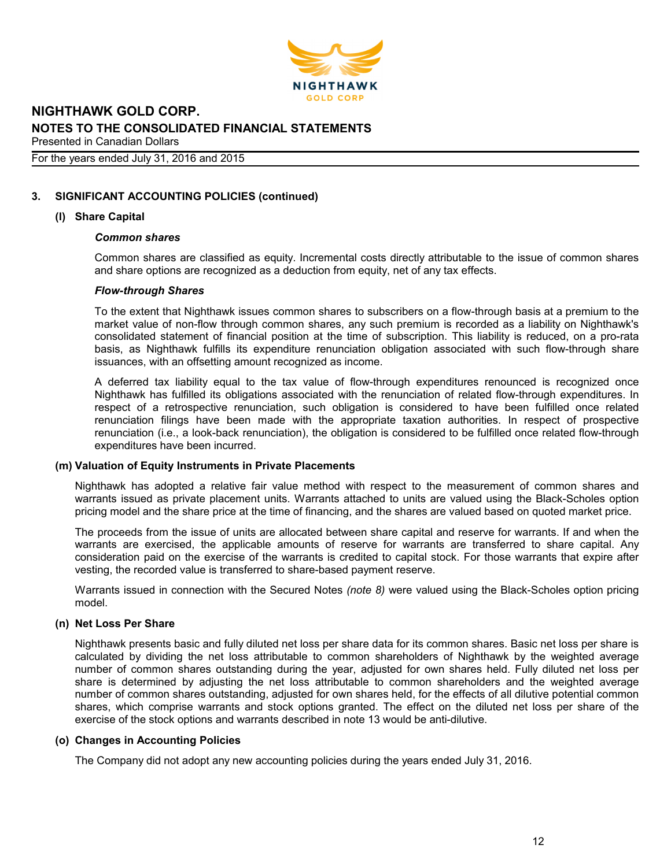

#### For the years ended July 31, 2016 and 2015

## **3. SIGNIFICANT ACCOUNTING POLICIES (continued)**

## **(l) Share Capital**

#### *Common shares*

Common shares are classified as equity. Incremental costs directly attributable to the issue of common shares and share options are recognized as a deduction from equity, net of any tax effects.

## *Flow-through Shares*

To the extent that Nighthawk issues common shares to subscribers on a flow-through basis at a premium to the market value of non-flow through common shares, any such premium is recorded as a liability on Nighthawk's consolidated statement of financial position at the time of subscription. This liability is reduced, on a pro-rata basis, as Nighthawk fulfills its expenditure renunciation obligation associated with such flow-through share issuances, with an offsetting amount recognized as income.

A deferred tax liability equal to the tax value of flow-through expenditures renounced is recognized once Nighthawk has fulfilled its obligations associated with the renunciation of related flow-through expenditures. In respect of a retrospective renunciation, such obligation is considered to have been fulfilled once related renunciation filings have been made with the appropriate taxation authorities. In respect of prospective renunciation (i.e., a look-back renunciation), the obligation is considered to be fulfilled once related flow-through expenditures have been incurred.

## **(m) Valuation of Equity Instruments in Private Placements**

Nighthawk has adopted a relative fair value method with respect to the measurement of common shares and warrants issued as private placement units. Warrants attached to units are valued using the Black-Scholes option pricing model and the share price at the time of financing, and the shares are valued based on quoted market price.

The proceeds from the issue of units are allocated between share capital and reserve for warrants. If and when the warrants are exercised, the applicable amounts of reserve for warrants are transferred to share capital. Any consideration paid on the exercise of the warrants is credited to capital stock. For those warrants that expire after vesting, the recorded value is transferred to share-based payment reserve.

Warrants issued in connection with the Secured Notes *(note 8)* were valued using the Black-Scholes option pricing model.

#### **(n) Net Loss Per Share**

Nighthawk presents basic and fully diluted net loss per share data for its common shares. Basic net loss per share is calculated by dividing the net loss attributable to common shareholders of Nighthawk by the weighted average number of common shares outstanding during the year, adjusted for own shares held. Fully diluted net loss per share is determined by adjusting the net loss attributable to common shareholders and the weighted average number of common shares outstanding, adjusted for own shares held, for the effects of all dilutive potential common shares, which comprise warrants and stock options granted. The effect on the diluted net loss per share of the exercise of the stock options and warrants described in note 13 would be anti-dilutive.

#### **(o) Changes in Accounting Policies**

The Company did not adopt any new accounting policies during the years ended July 31, 2016.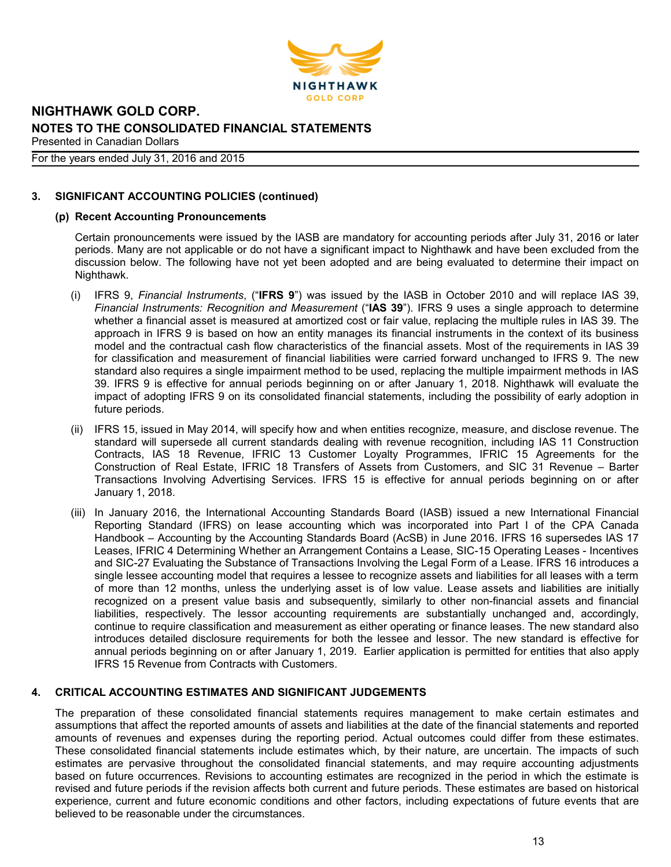

#### For the years ended July 31, 2016 and 2015

# **3. SIGNIFICANT ACCOUNTING POLICIES (continued)**

## **(p) Recent Accounting Pronouncements**

Certain pronouncements were issued by the IASB are mandatory for accounting periods after July 31, 2016 or later periods. Many are not applicable or do not have a significant impact to Nighthawk and have been excluded from the discussion below. The following have not yet been adopted and are being evaluated to determine their impact on Nighthawk.

- (i) IFRS 9, *Financial Instruments*, ("**IFRS 9**") was issued by the IASB in October 2010 and will replace IAS 39, *Financial Instruments: Recognition and Measurement* ("**IAS 39**"). IFRS 9 uses a single approach to determine whether a financial asset is measured at amortized cost or fair value, replacing the multiple rules in IAS 39. The approach in IFRS 9 is based on how an entity manages its financial instruments in the context of its business model and the contractual cash flow characteristics of the financial assets. Most of the requirements in IAS 39 for classification and measurement of financial liabilities were carried forward unchanged to IFRS 9. The new standard also requires a single impairment method to be used, replacing the multiple impairment methods in IAS 39. IFRS 9 is effective for annual periods beginning on or after January 1, 2018. Nighthawk will evaluate the impact of adopting IFRS 9 on its consolidated financial statements, including the possibility of early adoption in future periods.
- (ii) IFRS 15, issued in May 2014, will specify how and when entities recognize, measure, and disclose revenue. The standard will supersede all current standards dealing with revenue recognition, including IAS 11 Construction Contracts, IAS 18 Revenue, IFRIC 13 Customer Loyalty Programmes, IFRIC 15 Agreements for the Construction of Real Estate, IFRIC 18 Transfers of Assets from Customers, and SIC 31 Revenue – Barter Transactions Involving Advertising Services. IFRS 15 is effective for annual periods beginning on or after January 1, 2018.
- (iii) In January 2016, the International Accounting Standards Board (IASB) issued a new International Financial Reporting Standard (IFRS) on lease accounting which was incorporated into Part I of the CPA Canada Handbook – Accounting by the Accounting Standards Board (AcSB) in June 2016. IFRS 16 supersedes IAS 17 Leases, IFRIC 4 Determining Whether an Arrangement Contains a Lease, SIC-15 Operating Leases - Incentives and SIC-27 Evaluating the Substance of Transactions Involving the Legal Form of a Lease. IFRS 16 introduces a single lessee accounting model that requires a lessee to recognize assets and liabilities for all leases with a term of more than 12 months, unless the underlying asset is of low value. Lease assets and liabilities are initially recognized on a present value basis and subsequently, similarly to other non-financial assets and financial liabilities, respectively. The lessor accounting requirements are substantially unchanged and, accordingly, continue to require classification and measurement as either operating or finance leases. The new standard also introduces detailed disclosure requirements for both the lessee and lessor. The new standard is effective for annual periods beginning on or after January 1, 2019. Earlier application is permitted for entities that also apply IFRS 15 Revenue from Contracts with Customers.

# **4. CRITICAL ACCOUNTING ESTIMATES AND SIGNIFICANT JUDGEMENTS**

The preparation of these consolidated financial statements requires management to make certain estimates and assumptions that affect the reported amounts of assets and liabilities at the date of the financial statements and reported amounts of revenues and expenses during the reporting period. Actual outcomes could differ from these estimates. These consolidated financial statements include estimates which, by their nature, are uncertain. The impacts of such estimates are pervasive throughout the consolidated financial statements, and may require accounting adjustments based on future occurrences. Revisions to accounting estimates are recognized in the period in which the estimate is revised and future periods if the revision affects both current and future periods. These estimates are based on historical experience, current and future economic conditions and other factors, including expectations of future events that are believed to be reasonable under the circumstances.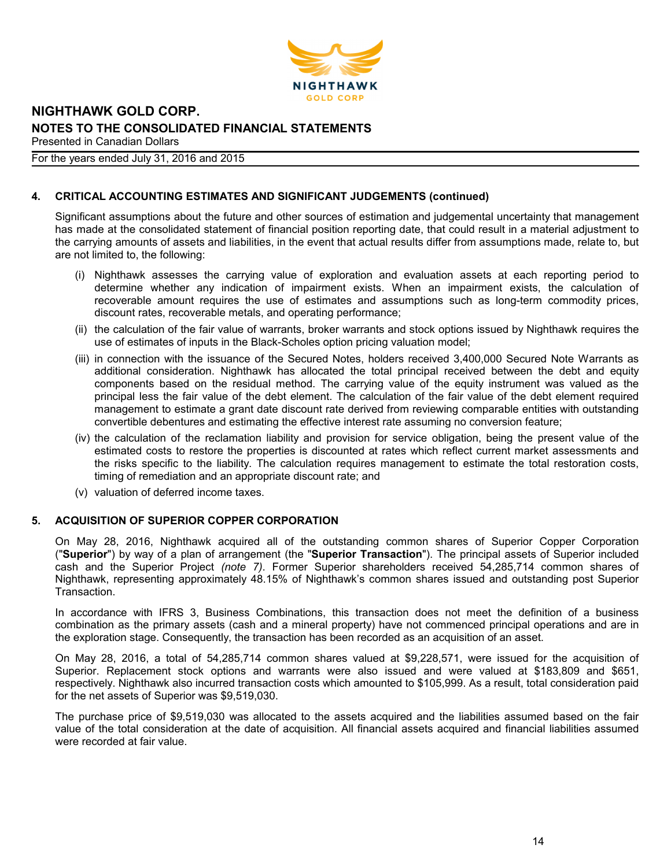

#### For the years ended July 31, 2016 and 2015

## **4. CRITICAL ACCOUNTING ESTIMATES AND SIGNIFICANT JUDGEMENTS (continued)**

Significant assumptions about the future and other sources of estimation and judgemental uncertainty that management has made at the consolidated statement of financial position reporting date, that could result in a material adjustment to the carrying amounts of assets and liabilities, in the event that actual results differ from assumptions made, relate to, but are not limited to, the following:

- (i) Nighthawk assesses the carrying value of exploration and evaluation assets at each reporting period to determine whether any indication of impairment exists. When an impairment exists, the calculation of recoverable amount requires the use of estimates and assumptions such as long-term commodity prices, discount rates, recoverable metals, and operating performance;
- (ii) the calculation of the fair value of warrants, broker warrants and stock options issued by Nighthawk requires the use of estimates of inputs in the Black-Scholes option pricing valuation model;
- (iii) in connection with the issuance of the Secured Notes, holders received 3,400,000 Secured Note Warrants as additional consideration. Nighthawk has allocated the total principal received between the debt and equity components based on the residual method. The carrying value of the equity instrument was valued as the principal less the fair value of the debt element. The calculation of the fair value of the debt element required management to estimate a grant date discount rate derived from reviewing comparable entities with outstanding convertible debentures and estimating the effective interest rate assuming no conversion feature;
- (iv) the calculation of the reclamation liability and provision for service obligation, being the present value of the estimated costs to restore the properties is discounted at rates which reflect current market assessments and the risks specific to the liability. The calculation requires management to estimate the total restoration costs, timing of remediation and an appropriate discount rate; and
- (v) valuation of deferred income taxes.

# **5. ACQUISITION OF SUPERIOR COPPER CORPORATION**

On May 28, 2016, Nighthawk acquired all of the outstanding common shares of Superior Copper Corporation ("**Superior**") by way of a plan of arrangement (the "**Superior Transaction**"). The principal assets of Superior included cash and the Superior Project *(note 7)*. Former Superior shareholders received 54,285,714 common shares of Nighthawk, representing approximately 48.15% of Nighthawk's common shares issued and outstanding post Superior Transaction.

In accordance with IFRS 3, Business Combinations, this transaction does not meet the definition of a business combination as the primary assets (cash and a mineral property) have not commenced principal operations and are in the exploration stage. Consequently, the transaction has been recorded as an acquisition of an asset.

On May 28, 2016, a total of 54,285,714 common shares valued at \$9,228,571, were issued for the acquisition of Superior. Replacement stock options and warrants were also issued and were valued at \$183,809 and \$651, respectively. Nighthawk also incurred transaction costs which amounted to \$105,999. As a result, total consideration paid for the net assets of Superior was \$9,519,030.

The purchase price of \$9,519,030 was allocated to the assets acquired and the liabilities assumed based on the fair value of the total consideration at the date of acquisition. All financial assets acquired and financial liabilities assumed were recorded at fair value.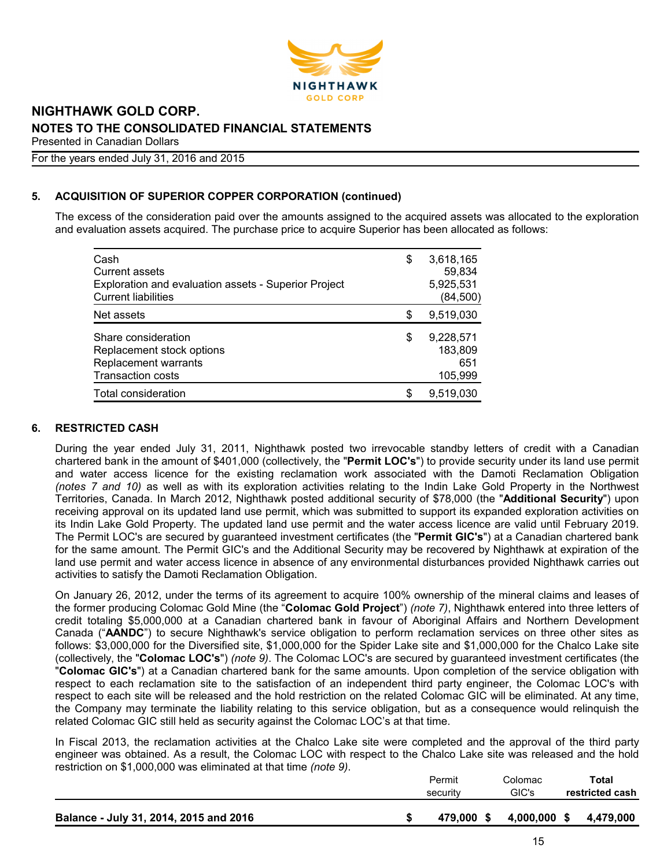

For the years ended July 31, 2016 and 2015

# **5. ACQUISITION OF SUPERIOR COPPER CORPORATION (continued)**

The excess of the consideration paid over the amounts assigned to the acquired assets was allocated to the exploration and evaluation assets acquired. The purchase price to acquire Superior has been allocated as follows:

| Cash<br><b>Current assets</b><br>Exploration and evaluation assets - Superior Project<br><b>Current liabilities</b> | \$ | 3,618,165<br>59,834<br>5,925,531<br>(84, 500) |
|---------------------------------------------------------------------------------------------------------------------|----|-----------------------------------------------|
| Net assets                                                                                                          | \$ | 9,519,030                                     |
| Share consideration<br>Replacement stock options<br>Replacement warrants<br><b>Transaction costs</b>                | \$ | 9,228,571<br>183,809<br>651<br>105,999        |
| Total consideration                                                                                                 | S  | 9,519,030                                     |

## **6. RESTRICTED CASH**

During the year ended July 31, 2011, Nighthawk posted two irrevocable standby letters of credit with a Canadian chartered bank in the amount of \$401,000 (collectively, the "**Permit LOC's**") to provide security under its land use permit and water access licence for the existing reclamation work associated with the Damoti Reclamation Obligation *(notes 7 and 10)* as well as with its exploration activities relating to the Indin Lake Gold Property in the Northwest Territories, Canada. In March 2012, Nighthawk posted additional security of \$78,000 (the "**Additional Security**") upon receiving approval on its updated land use permit, which was submitted to support its expanded exploration activities on its Indin Lake Gold Property. The updated land use permit and the water access licence are valid until February 2019. The Permit LOC's are secured by guaranteed investment certificates (the "**Permit GIC's**") at a Canadian chartered bank for the same amount. The Permit GIC's and the Additional Security may be recovered by Nighthawk at expiration of the land use permit and water access licence in absence of any environmental disturbances provided Nighthawk carries out activities to satisfy the Damoti Reclamation Obligation.

On January 26, 2012, under the terms of its agreement to acquire 100% ownership of the mineral claims and leases of the former producing Colomac Gold Mine (the "**Colomac Gold Project**") *(note 7)*, Nighthawk entered into three letters of credit totaling \$5,000,000 at a Canadian chartered bank in favour of Aboriginal Affairs and Northern Development Canada ("**AANDC**") to secure Nighthawk's service obligation to perform reclamation services on three other sites as follows: \$3,000,000 for the Diversified site, \$1,000,000 for the Spider Lake site and \$1,000,000 for the Chalco Lake site (collectively, the "**Colomac LOC's**") *(note 9)*. The Colomac LOC's are secured by guaranteed investment certificates (the "**Colomac GIC's**") at a Canadian chartered bank for the same amounts. Upon completion of the service obligation with respect to each reclamation site to the satisfaction of an independent third party engineer, the Colomac LOC's with respect to each site will be released and the hold restriction on the related Colomac GIC will be eliminated. At any time, the Company may terminate the liability relating to this service obligation, but as a consequence would relinquish the related Colomac GIC still held as security against the Colomac LOC's at that time.

In Fiscal 2013, the reclamation activities at the Chalco Lake site were completed and the approval of the third party engineer was obtained. As a result, the Colomac LOC with respect to the Chalco Lake site was released and the hold restriction on \$1,000,000 was eliminated at that time *(note 9)*.

|                                        | Permit<br>security | Colomac<br>GIC's | Total<br>restricted cash |
|----------------------------------------|--------------------|------------------|--------------------------|
| Balance - July 31, 2014, 2015 and 2016 | 479.000 \$         |                  | 4,000,000 \$ 4,479,000   |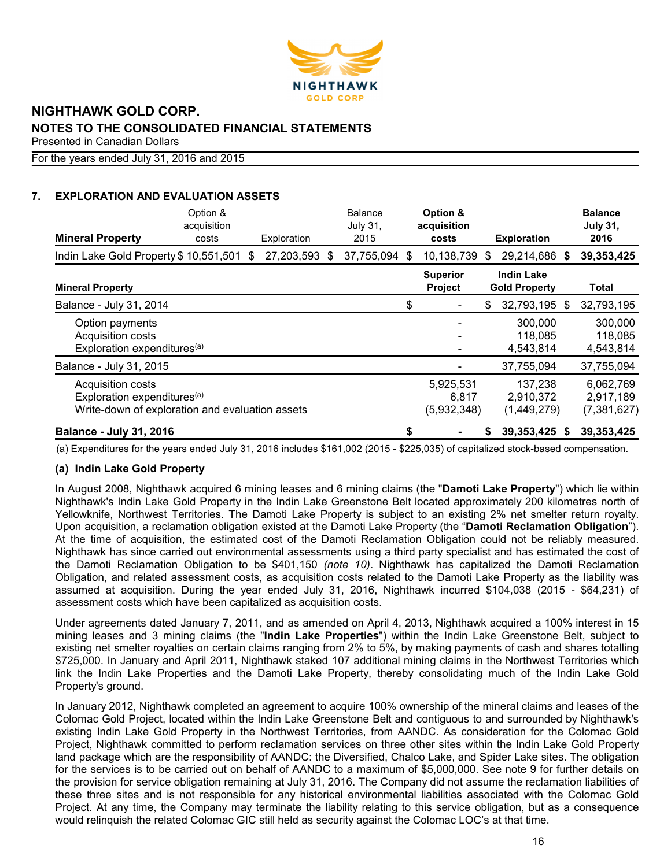

For the years ended July 31, 2016 and 2015

# **7. EXPLORATION AND EVALUATION ASSETS**

| <b>Mineral Property</b>                                                                                         | Option &<br>acquisition<br>costs |   | Exploration | <b>Balance</b><br>July 31,<br>2015 |    | Option &<br>acquisition<br>costs  |    | <b>Exploration</b>                        |      | <b>Balance</b><br><b>July 31,</b><br>2016 |
|-----------------------------------------------------------------------------------------------------------------|----------------------------------|---|-------------|------------------------------------|----|-----------------------------------|----|-------------------------------------------|------|-------------------------------------------|
| Indin Lake Gold Property \$10,551,501                                                                           |                                  | S | 27,203,593  | \$<br>37,755,094                   | S  | 10,138,739                        | S  | 29,214,686                                | S.   | 39,353,425                                |
| <b>Mineral Property</b>                                                                                         |                                  |   |             |                                    |    | <b>Superior</b><br><b>Project</b> |    | <b>Indin Lake</b><br><b>Gold Property</b> |      | Total                                     |
| Balance - July 31, 2014                                                                                         |                                  |   |             |                                    | \$ |                                   | \$ | 32,793,195                                | - \$ | 32,793,195                                |
| Option payments<br>Acquisition costs<br>Exploration expenditures <sup>(a)</sup>                                 |                                  |   |             |                                    |    |                                   |    | 300,000<br>118.085<br>4,543,814           |      | 300,000<br>118,085<br>4,543,814           |
| Balance - July 31, 2015                                                                                         |                                  |   |             |                                    |    |                                   |    | 37,755,094                                |      | 37,755,094                                |
| Acquisition costs<br>Exploration expenditures <sup>(a)</sup><br>Write-down of exploration and evaluation assets |                                  |   |             |                                    |    | 5,925,531<br>6,817<br>(5,932,348) |    | 137.238<br>2.910.372<br>(1,449,279)       |      | 6,062,769<br>2,917,189<br>(7, 381, 627)   |
| <b>Balance - July 31, 2016</b>                                                                                  |                                  |   |             |                                    | \$ |                                   |    | 39,353,425                                | S    | 39,353,425                                |

(a) Expenditures for the years ended July 31, 2016 includes \$161,002 (2015 - \$225,035) of capitalized stock-based compensation.

## **(a) Indin Lake Gold Property**

In August 2008, Nighthawk acquired 6 mining leases and 6 mining claims (the "**Damoti Lake Property**") which lie within Nighthawk's Indin Lake Gold Property in the Indin Lake Greenstone Belt located approximately 200 kilometres north of Yellowknife, Northwest Territories. The Damoti Lake Property is subject to an existing 2% net smelter return royalty. Upon acquisition, a reclamation obligation existed at the Damoti Lake Property (the "**Damoti Reclamation Obligation**"). At the time of acquisition, the estimated cost of the Damoti Reclamation Obligation could not be reliably measured. Nighthawk has since carried out environmental assessments using a third party specialist and has estimated the cost of the Damoti Reclamation Obligation to be \$401,150 *(note 10)*. Nighthawk has capitalized the Damoti Reclamation Obligation, and related assessment costs, as acquisition costs related to the Damoti Lake Property as the liability was assumed at acquisition. During the year ended July 31, 2016, Nighthawk incurred \$104,038 (2015 - \$64,231) of assessment costs which have been capitalized as acquisition costs.

Under agreements dated January 7, 2011, and as amended on April 4, 2013, Nighthawk acquired a 100% interest in 15 mining leases and 3 mining claims (the "**Indin Lake Properties**") within the Indin Lake Greenstone Belt, subject to existing net smelter royalties on certain claims ranging from 2% to 5%, by making payments of cash and shares totalling \$725,000. In January and April 2011, Nighthawk staked 107 additional mining claims in the Northwest Territories which link the Indin Lake Properties and the Damoti Lake Property, thereby consolidating much of the Indin Lake Gold Property's ground.

In January 2012, Nighthawk completed an agreement to acquire 100% ownership of the mineral claims and leases of the Colomac Gold Project, located within the Indin Lake Greenstone Belt and contiguous to and surrounded by Nighthawk's existing Indin Lake Gold Property in the Northwest Territories, from AANDC. As consideration for the Colomac Gold Project, Nighthawk committed to perform reclamation services on three other sites within the Indin Lake Gold Property land package which are the responsibility of AANDC: the Diversified, Chalco Lake, and Spider Lake sites. The obligation for the services is to be carried out on behalf of AANDC to a maximum of \$5,000,000. See note 9 for further details on the provision for service obligation remaining at July 31, 2016. The Company did not assume the reclamation liabilities of these three sites and is not responsible for any historical environmental liabilities associated with the Colomac Gold Project. At any time, the Company may terminate the liability relating to this service obligation, but as a consequence would relinquish the related Colomac GIC still held as security against the Colomac LOC's at that time.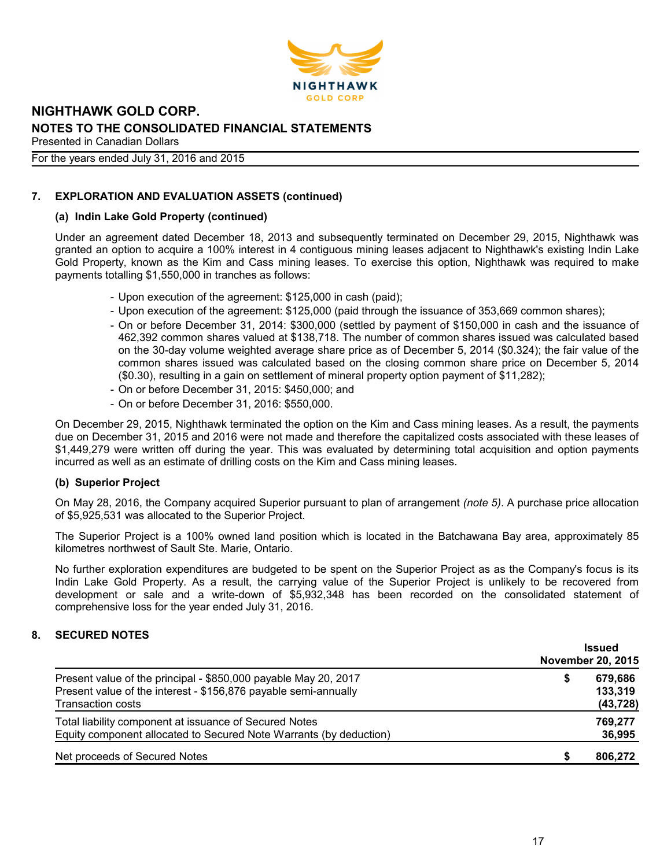

#### For the years ended July 31, 2016 and 2015

# **7. EXPLORATION AND EVALUATION ASSETS (continued)**

## **(a) Indin Lake Gold Property (continued)**

Under an agreement dated December 18, 2013 and subsequently terminated on December 29, 2015, Nighthawk was granted an option to acquire a 100% interest in 4 contiguous mining leases adjacent to Nighthawk's existing Indin Lake Gold Property, known as the Kim and Cass mining leases. To exercise this option, Nighthawk was required to make payments totalling \$1,550,000 in tranches as follows:

- Upon execution of the agreement: \$125,000 in cash (paid);
- Upon execution of the agreement: \$125,000 (paid through the issuance of 353,669 common shares);
- On or before December 31, 2014: \$300,000 (settled by payment of \$150,000 in cash and the issuance of 462,392 common shares valued at \$138,718. The number of common shares issued was calculated based on the 30-day volume weighted average share price as of December 5, 2014 (\$0.324); the fair value of the common shares issued was calculated based on the closing common share price on December 5, 2014 (\$0.30), resulting in a gain on settlement of mineral property option payment of \$11,282);
- On or before December 31, 2015: \$450,000; and
- On or before December 31, 2016: \$550,000.

On December 29, 2015, Nighthawk terminated the option on the Kim and Cass mining leases. As a result, the payments due on December 31, 2015 and 2016 were not made and therefore the capitalized costs associated with these leases of \$1,449,279 were written off during the year. This was evaluated by determining total acquisition and option payments incurred as well as an estimate of drilling costs on the Kim and Cass mining leases.

## **(b) Superior Project**

On May 28, 2016, the Company acquired Superior pursuant to plan of arrangement *(note 5)*. A purchase price allocation of \$5,925,531 was allocated to the Superior Project.

The Superior Project is a 100% owned land position which is located in the Batchawana Bay area, approximately 85 kilometres northwest of Sault Ste. Marie, Ontario.

No further exploration expenditures are budgeted to be spent on the Superior Project as as the Company's focus is its Indin Lake Gold Property. As a result, the carrying value of the Superior Project is unlikely to be recovered from development or sale and a write-down of \$5,932,348 has been recorded on the consolidated statement of comprehensive loss for the year ended July 31, 2016.

# **8. SECURED NOTES**

|                                                                                                                                                                |   | <b>Issued</b><br><b>November 20, 2015</b> |
|----------------------------------------------------------------------------------------------------------------------------------------------------------------|---|-------------------------------------------|
| Present value of the principal - \$850,000 payable May 20, 2017<br>Present value of the interest - \$156,876 payable semi-annually<br><b>Transaction costs</b> | S | 679.686<br>133,319<br>(43, 728)           |
| Total liability component at issuance of Secured Notes<br>Equity component allocated to Secured Note Warrants (by deduction)                                   |   | 769.277<br>36,995                         |
| Net proceeds of Secured Notes                                                                                                                                  |   | 806,272                                   |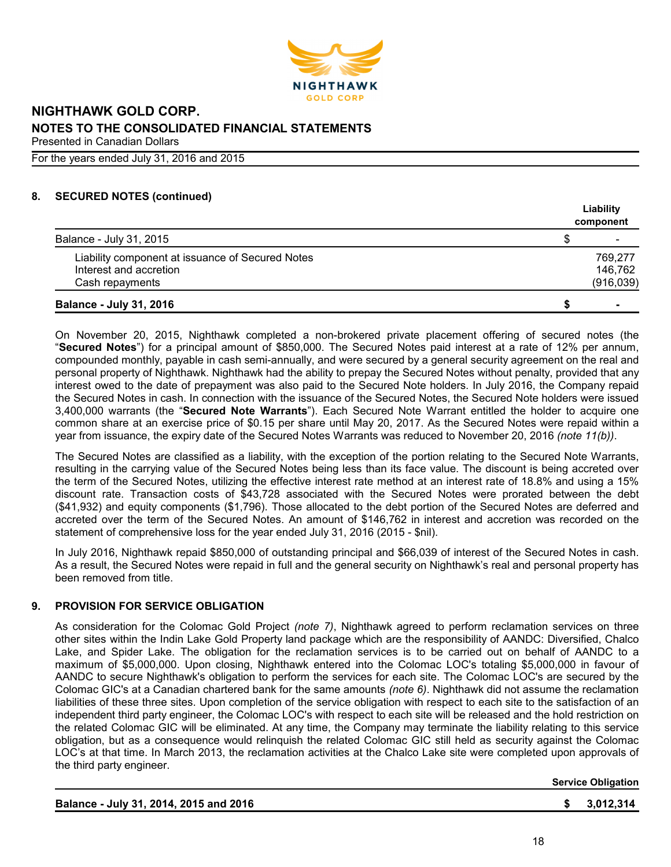

For the years ended July 31, 2016 and 2015

# **8. SECURED NOTES (continued)**

|                                                  | Liability<br>component |
|--------------------------------------------------|------------------------|
| Balance - July 31, 2015                          |                        |
| Liability component at issuance of Secured Notes | 769.277                |
| Interest and accretion                           | 146,762                |
| Cash repayments                                  | (916, 039)             |
| <b>Balance - July 31, 2016</b>                   |                        |

On November 20, 2015, Nighthawk completed a non-brokered private placement offering of secured notes (the "**Secured Notes**") for a principal amount of \$850,000. The Secured Notes paid interest at a rate of 12% per annum, compounded monthly, payable in cash semi-annually, and were secured by a general security agreement on the real and personal property of Nighthawk. Nighthawk had the ability to prepay the Secured Notes without penalty, provided that any interest owed to the date of prepayment was also paid to the Secured Note holders. In July 2016, the Company repaid the Secured Notes in cash. In connection with the issuance of the Secured Notes, the Secured Note holders were issued 3,400,000 warrants (the "**Secured Note Warrants**"). Each Secured Note Warrant entitled the holder to acquire one common share at an exercise price of \$0.15 per share until May 20, 2017. As the Secured Notes were repaid within a year from issuance, the expiry date of the Secured Notes Warrants was reduced to November 20, 2016 *(note 11(b))*.

The Secured Notes are classified as a liability, with the exception of the portion relating to the Secured Note Warrants, resulting in the carrying value of the Secured Notes being less than its face value. The discount is being accreted over the term of the Secured Notes, utilizing the effective interest rate method at an interest rate of 18.8% and using a 15% discount rate. Transaction costs of \$43,728 associated with the Secured Notes were prorated between the debt (\$41,932) and equity components (\$1,796). Those allocated to the debt portion of the Secured Notes are deferred and accreted over the term of the Secured Notes. An amount of \$146,762 in interest and accretion was recorded on the statement of comprehensive loss for the year ended July 31, 2016 (2015 - \$nil).

In July 2016, Nighthawk repaid \$850,000 of outstanding principal and \$66,039 of interest of the Secured Notes in cash. As a result, the Secured Notes were repaid in full and the general security on Nighthawk's real and personal property has been removed from title.

# **9. PROVISION FOR SERVICE OBLIGATION**

As consideration for the Colomac Gold Project *(note 7)*, Nighthawk agreed to perform reclamation services on three other sites within the Indin Lake Gold Property land package which are the responsibility of AANDC: Diversified, Chalco Lake, and Spider Lake. The obligation for the reclamation services is to be carried out on behalf of AANDC to a maximum of \$5,000,000. Upon closing, Nighthawk entered into the Colomac LOC's totaling \$5,000,000 in favour of AANDC to secure Nighthawk's obligation to perform the services for each site. The Colomac LOC's are secured by the Colomac GIC's at a Canadian chartered bank for the same amounts *(note 6)*. Nighthawk did not assume the reclamation liabilities of these three sites. Upon completion of the service obligation with respect to each site to the satisfaction of an independent third party engineer, the Colomac LOC's with respect to each site will be released and the hold restriction on the related Colomac GIC will be eliminated. At any time, the Company may terminate the liability relating to this service obligation, but as a consequence would relinquish the related Colomac GIC still held as security against the Colomac LOC's at that time. In March 2013, the reclamation activities at the Chalco Lake site were completed upon approvals of the third party engineer.

**Service Obligation**

| Balance - July 31, 2014, 2015 and 2016 | 3,012,314 |
|----------------------------------------|-----------|
|                                        |           |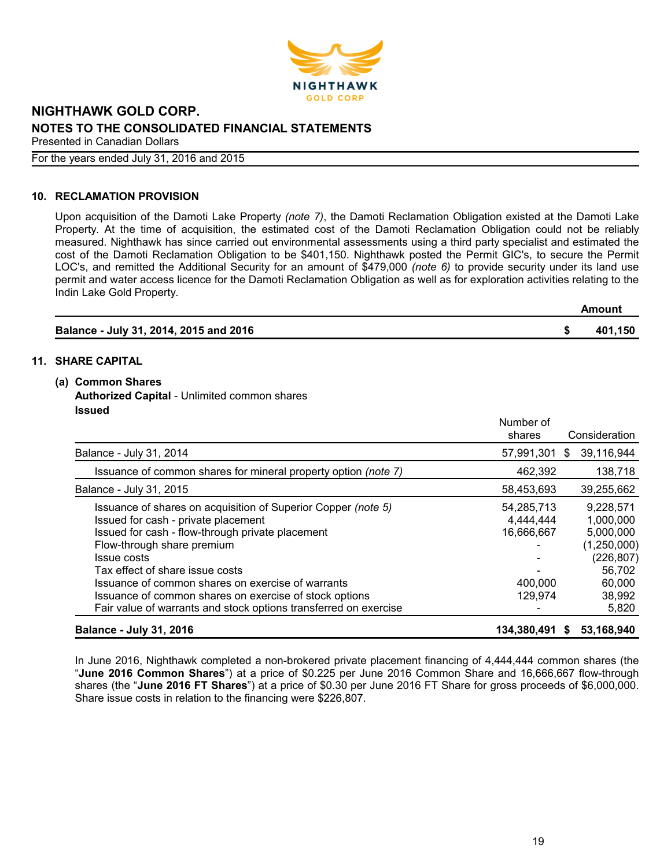

For the years ended July 31, 2016 and 2015

## **10. RECLAMATION PROVISION**

Upon acquisition of the Damoti Lake Property *(note 7)*, the Damoti Reclamation Obligation existed at the Damoti Lake Property. At the time of acquisition, the estimated cost of the Damoti Reclamation Obligation could not be reliably measured. Nighthawk has since carried out environmental assessments using a third party specialist and estimated the cost of the Damoti Reclamation Obligation to be \$401,150. Nighthawk posted the Permit GIC's, to secure the Permit LOC's, and remitted the Additional Security for an amount of \$479,000 *(note 6)* to provide security under its land use permit and water access licence for the Damoti Reclamation Obligation as well as for exploration activities relating to the Indin Lake Gold Property.

|                                        | Amount  |
|----------------------------------------|---------|
| Balance - July 31, 2014, 2015 and 2016 | 401.150 |

## **11. SHARE CAPITAL**

- **(a) Common Shares**
	- **Authorized Capital**  Unlimited common shares **Issued**

| <b>Balance - July 31, 2016</b>                                   | 134,380,491 \$      | 53,168,940      |
|------------------------------------------------------------------|---------------------|-----------------|
| Fair value of warrants and stock options transferred on exercise |                     | 5,820           |
| Issuance of common shares on exercise of stock options           | 129,974             | 38,992          |
| Issuance of common shares on exercise of warrants                | 400.000             | 60,000          |
| Tax effect of share issue costs                                  |                     | 56,702          |
| <b>Issue costs</b>                                               |                     | (226, 807)      |
| Flow-through share premium                                       |                     | (1,250,000)     |
| Issued for cash - flow-through private placement                 | 16,666,667          | 5,000,000       |
| Issued for cash - private placement                              | 4,444,444           | 1,000,000       |
| Issuance of shares on acquisition of Superior Copper (note 5)    | 54,285,713          | 9,228,571       |
| Balance - July 31, 2015                                          | 58,453,693          | 39,255,662      |
| Issuance of common shares for mineral property option (note 7)   | 462,392             | 138,718         |
| Balance - July 31, 2014                                          | 57,991,301          | 39,116,944<br>S |
|                                                                  | Number of<br>shares | Consideration   |

In June 2016, Nighthawk completed a non-brokered private placement financing of 4,444,444 common shares (the "**June 2016 Common Shares**") at a price of \$0.225 per June 2016 Common Share and 16,666,667 flow-through shares (the "**June 2016 FT Shares**") at a price of \$0.30 per June 2016 FT Share for gross proceeds of \$6,000,000. Share issue costs in relation to the financing were \$226,807.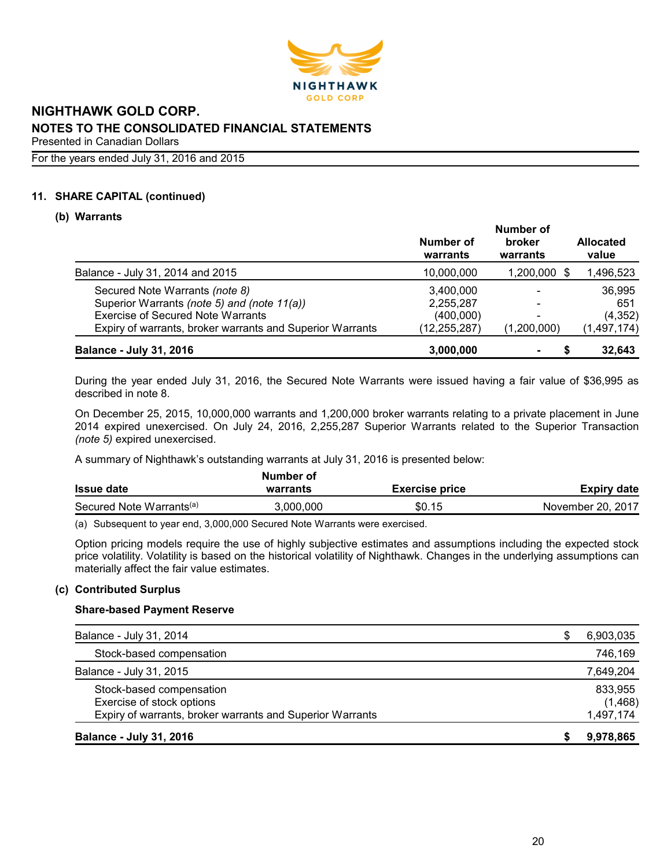

For the years ended July 31, 2016 and 2015

# **11. SHARE CAPITAL (continued)**

#### **(b) Warrants**

|                                                           | <b>Number of</b>      |                          |                           |  |
|-----------------------------------------------------------|-----------------------|--------------------------|---------------------------|--|
|                                                           | Number of<br>warrants | broker<br>warrants       | <b>Allocated</b><br>value |  |
| Balance - July 31, 2014 and 2015                          | 10,000,000            | 1,200,000                | 1,496,523                 |  |
| Secured Note Warrants (note 8)                            | 3,400,000             | -                        | 36,995                    |  |
| Superior Warrants (note 5) and (note 11(a))               | 2,255,287             | ۰                        | 651                       |  |
| <b>Exercise of Secured Note Warrants</b>                  | (400,000)             | $\overline{\phantom{0}}$ | (4, 352)                  |  |
| Expiry of warrants, broker warrants and Superior Warrants | (12,255,287)          | (1,200,000)              | (1, 497, 174)             |  |
| <b>Balance - July 31, 2016</b>                            | 3,000,000             | $\blacksquare$           | 32,643                    |  |

During the year ended July 31, 2016, the Secured Note Warrants were issued having a fair value of \$36,995 as described in note 8.

On December 25, 2015, 10,000,000 warrants and 1,200,000 broker warrants relating to a private placement in June 2014 expired unexercised. On July 24, 2016, 2,255,287 Superior Warrants related to the Superior Transaction *(note 5)* expired unexercised.

A summary of Nighthawk's outstanding warrants at July 31, 2016 is presented below:

|                                      | Number of |                       |                   |
|--------------------------------------|-----------|-----------------------|-------------------|
| <b>Issue date</b>                    | warrants  | <b>Exercise price</b> | Expiry date       |
| Secured Note Warrants <sup>(a)</sup> | 3.000.000 | \$0.15                | November 20, 2017 |

(a) Subsequent to year end, 3,000,000 Secured Note Warrants were exercised.

Option pricing models require the use of highly subjective estimates and assumptions including the expected stock price volatility. Volatility is based on the historical volatility of Nighthawk. Changes in the underlying assumptions can materially affect the fair value estimates.

# **(c) Contributed Surplus**

#### **Share-based Payment Reserve**

| <b>Balance - July 31, 2016</b>                            |   | 9,978,865 |
|-----------------------------------------------------------|---|-----------|
| Expiry of warrants, broker warrants and Superior Warrants |   | 1,497,174 |
| Exercise of stock options                                 |   | (1,468)   |
| Stock-based compensation                                  |   | 833,955   |
| Balance - July 31, 2015                                   |   | 7,649,204 |
| Stock-based compensation                                  |   | 746,169   |
| Balance - July 31, 2014                                   | S | 6,903,035 |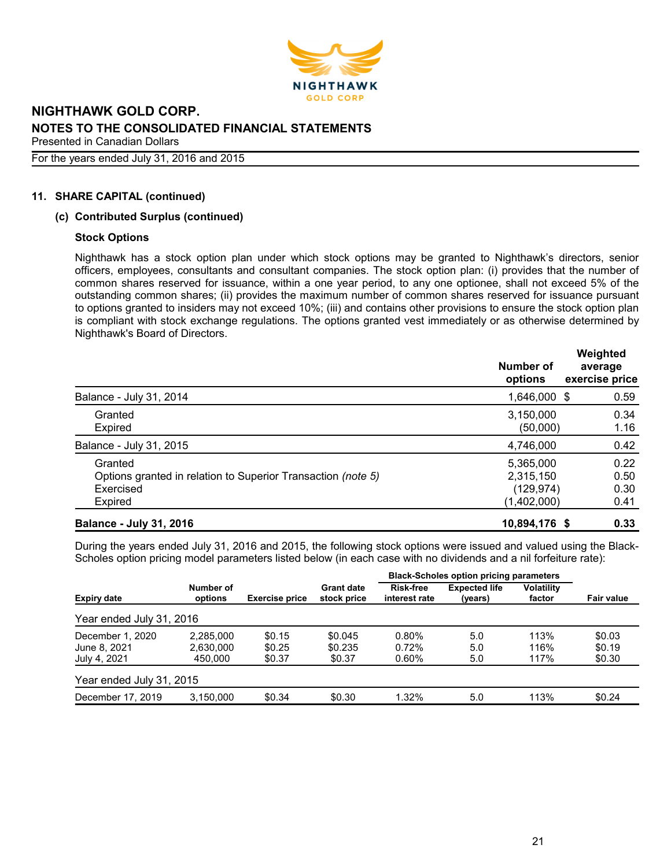

For the years ended July 31, 2016 and 2015

## **11. SHARE CAPITAL (continued)**

## **(c) Contributed Surplus (continued)**

## **Stock Options**

Nighthawk has a stock option plan under which stock options may be granted to Nighthawk's directors, senior officers, employees, consultants and consultant companies. The stock option plan: (i) provides that the number of common shares reserved for issuance, within a one year period, to any one optionee, shall not exceed 5% of the outstanding common shares; (ii) provides the maximum number of common shares reserved for issuance pursuant to options granted to insiders may not exceed 10%; (iii) and contains other provisions to ensure the stock option plan is compliant with stock exchange regulations. The options granted vest immediately or as otherwise determined by Nighthawk's Board of Directors.

|                                                                                                        | Number of<br>options                                | Weighted<br>average<br>exercise price |
|--------------------------------------------------------------------------------------------------------|-----------------------------------------------------|---------------------------------------|
| Balance - July 31, 2014                                                                                | 1,646,000 \$                                        | 0.59                                  |
| Granted<br><b>Expired</b>                                                                              | 3,150,000<br>(50,000)                               | 0.34<br>1.16                          |
| Balance - July 31, 2015                                                                                | 4,746,000                                           | 0.42                                  |
| Granted<br>Options granted in relation to Superior Transaction (note 5)<br>Exercised<br><b>Expired</b> | 5,365,000<br>2,315,150<br>(129, 974)<br>(1,402,000) | 0.22<br>0.50<br>0.30<br>0.41          |
| <b>Balance - July 31, 2016</b>                                                                         | 10,894,176 \$                                       | 0.33                                  |

During the years ended July 31, 2016 and 2015, the following stock options were issued and valued using the Black-Scholes option pricing model parameters listed below (in each case with no dividends and a nil forfeiture rate):

|                          |                      |                       |                                  | <b>Black-Scholes option pricing parameters</b> |                                 |                             |                   |
|--------------------------|----------------------|-----------------------|----------------------------------|------------------------------------------------|---------------------------------|-----------------------------|-------------------|
| <b>Expiry date</b>       | Number of<br>options | <b>Exercise price</b> | <b>Grant date</b><br>stock price | <b>Risk-free</b><br>interest rate              | <b>Expected life</b><br>(years) | <b>Volatility</b><br>factor | <b>Fair value</b> |
| Year ended July 31, 2016 |                      |                       |                                  |                                                |                                 |                             |                   |
| December 1, 2020         | 2.285.000            | \$0.15                | \$0.045                          | 0.80%                                          | 5.0                             | 113%                        | \$0.03            |
| June 8, 2021             | 2.630.000            | \$0.25                | \$0.235                          | 0.72%                                          | 5.0                             | 116%                        | \$0.19            |
| July 4, 2021             | 450.000              | \$0.37                | \$0.37                           | $0.60\%$                                       | 5.0                             | 117%                        | \$0.30            |
| Year ended July 31, 2015 |                      |                       |                                  |                                                |                                 |                             |                   |
| December 17, 2019        | 3.150.000            | \$0.34                | \$0.30                           | 1.32%                                          | 5.0                             | 113%                        | \$0.24            |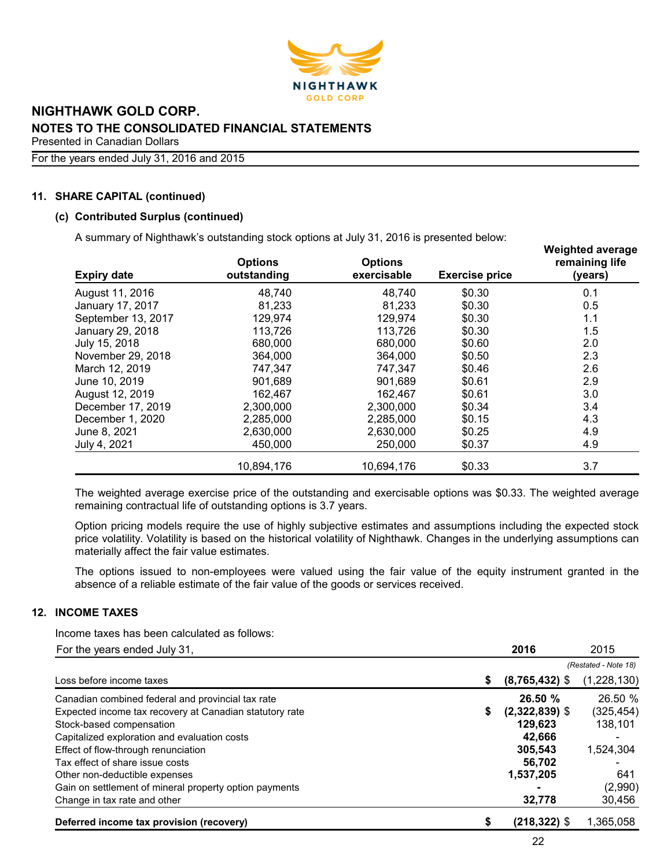

For the years ended July 31, 2016 and 2015

## **11. SHARE CAPITAL (continued)**

## **(c) Contributed Surplus (continued)**

A summary of Nighthawk's outstanding stock options at July 31, 2016 is presented below:

| <b>Expiry date</b> | <b>Options</b><br>outstanding | <b>Options</b><br>exercisable | <b>Exercise price</b> | weignted average<br>remaining life<br>(years) |
|--------------------|-------------------------------|-------------------------------|-----------------------|-----------------------------------------------|
| August 11, 2016    | 48,740                        | 48,740                        | \$0.30                | 0.1                                           |
| January 17, 2017   | 81,233                        | 81,233                        | \$0.30                | 0.5                                           |
| September 13, 2017 | 129,974                       | 129,974                       | \$0.30                | 1.1                                           |
| January 29, 2018   | 113,726                       | 113,726                       | \$0.30                | 1.5                                           |
| July 15, 2018      | 680,000                       | 680,000                       | \$0.60                | 2.0                                           |
| November 29, 2018  | 364,000                       | 364.000                       | \$0.50                | 2.3                                           |
| March 12, 2019     | 747,347                       | 747.347                       | \$0.46                | 2.6                                           |
| June 10, 2019      | 901,689                       | 901,689                       | \$0.61                | 2.9                                           |
| August 12, 2019    | 162,467                       | 162.467                       | \$0.61                | 3.0                                           |
| December 17, 2019  | 2,300,000                     | 2,300,000                     | \$0.34                | 3.4                                           |
| December 1, 2020   | 2,285,000                     | 2,285,000                     | \$0.15                | 4.3                                           |
| June 8, 2021       | 2,630,000                     | 2,630,000                     | \$0.25                | 4.9                                           |
| July 4, 2021       | 450,000                       | 250,000                       | \$0.37                | 4.9                                           |
|                    | 10,894,176                    | 10,694,176                    | \$0.33                | 3.7                                           |

The weighted average exercise price of the outstanding and exercisable options was \$0.33. The weighted average remaining contractual life of outstanding options is 3.7 years.

Option pricing models require the use of highly subjective estimates and assumptions including the expected stock price volatility. Volatility is based on the historical volatility of Nighthawk. Changes in the underlying assumptions can materially affect the fair value estimates.

The options issued to non-employees were valued using the fair value of the equity instrument granted in the absence of a reliable estimate of the fair value of the goods or services received.

## **12. INCOME TAXES**

Income taxes has been calculated as follows:

| For the years ended July 31,                            |    | 2016             | 2015                 |
|---------------------------------------------------------|----|------------------|----------------------|
|                                                         |    |                  | (Restated - Note 18) |
| Loss before income taxes                                | S. | $(8,765,432)$ \$ | (1,228,130)          |
| Canadian combined federal and provincial tax rate       |    | 26.50 %          | 26.50 %              |
| Expected income tax recovery at Canadian statutory rate | \$ | $(2,322,839)$ \$ | (325, 454)           |
| Stock-based compensation                                |    | 129.623          | 138,101              |
| Capitalized exploration and evaluation costs            |    | 42.666           |                      |
| Effect of flow-through renunciation                     |    | 305.543          | 1,524,304            |
| Tax effect of share issue costs                         |    | 56.702           |                      |
| Other non-deductible expenses                           |    | 1,537,205        | 641                  |
| Gain on settlement of mineral property option payments  |    |                  | (2,990)              |
| Change in tax rate and other                            |    | 32,778           | 30,456               |
| Deferred income tax provision (recovery)                | S  | $(218, 322)$ \$  | 1,365,058            |
|                                                         |    | $\sim$           |                      |

**Weighted average**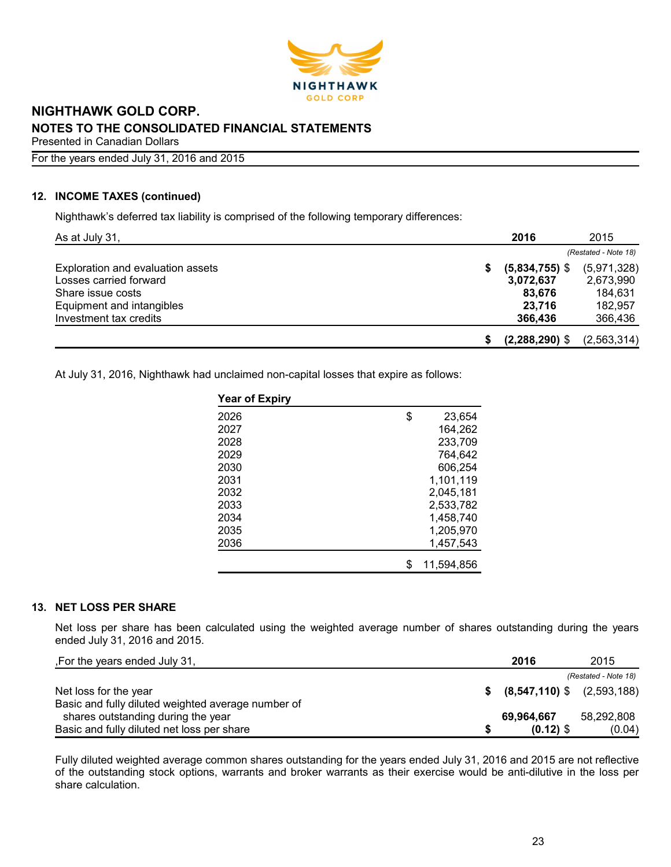

For the years ended July 31, 2016 and 2015

## **12. INCOME TAXES (continued)**

Nighthawk's deferred tax liability is comprised of the following temporary differences:

| As at July 31,                    | 2016             | 2015                 |
|-----------------------------------|------------------|----------------------|
|                                   |                  | (Restated - Note 18) |
| Exploration and evaluation assets | $(5,834,755)$ \$ | (5,971,328)          |
| Losses carried forward            | 3,072,637        | 2,673,990            |
| Share issue costs                 | 83.676           | 184.631              |
| Equipment and intangibles         | 23.716           | 182.957              |
| Investment tax credits            | 366,436          | 366,436              |
|                                   | $(2,288,290)$ \$ | (2, 563, 314)        |

At July 31, 2016, Nighthawk had unclaimed non-capital losses that expire as follows:

| <b>Year of Expiry</b> |    |            |
|-----------------------|----|------------|
| 2026                  | \$ | 23,654     |
| 2027                  |    | 164.262    |
| 2028                  |    | 233,709    |
| 2029                  |    | 764.642    |
| 2030                  |    | 606,254    |
| 2031                  |    | 1,101,119  |
| 2032                  |    | 2,045,181  |
| 2033                  |    | 2,533,782  |
| 2034                  |    | 1.458.740  |
| 2035                  |    | 1,205,970  |
| 2036                  |    | 1,457,543  |
|                       | S  | 11.594.856 |
|                       |    |            |

## **13. NET LOSS PER SHARE**

Net loss per share has been calculated using the weighted average number of shares outstanding during the years ended July 31, 2016 and 2015.

| , For the years ended July 31,                                              | 2016                           | 2015                 |
|-----------------------------------------------------------------------------|--------------------------------|----------------------|
|                                                                             |                                | (Restated - Note 18) |
| Net loss for the year<br>Basic and fully diluted weighted average number of | $$$ (8,547,110) \$ (2,593,188) |                      |
| shares outstanding during the year                                          | 69,964,667                     | 58,292,808           |
| Basic and fully diluted net loss per share                                  | $(0.12)$ \$                    | (0.04)               |

Fully diluted weighted average common shares outstanding for the years ended July 31, 2016 and 2015 are not reflective of the outstanding stock options, warrants and broker warrants as their exercise would be anti-dilutive in the loss per share calculation.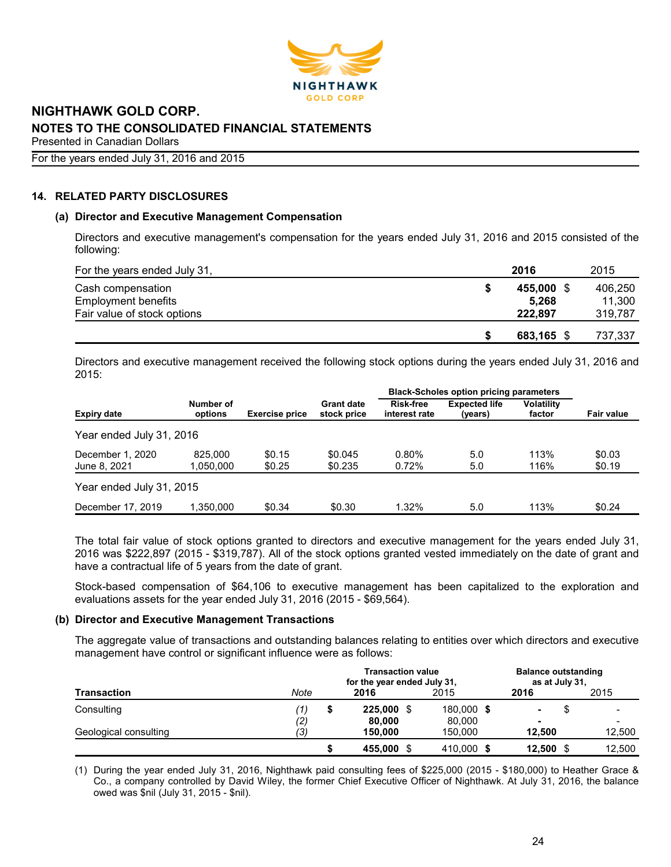

For the years ended July 31, 2016 and 2015

# **14. RELATED PARTY DISCLOSURES**

## **(a) Director and Executive Management Compensation**

Directors and executive management's compensation for the years ended July 31, 2016 and 2015 consisted of the following:

| For the years ended July 31, | 2016       |         |
|------------------------------|------------|---------|
| Cash compensation            | 455.000    | 406,250 |
| <b>Employment benefits</b>   | 5.268      | 11.300  |
| Fair value of stock options  | 222,897    | 319,787 |
|                              | 683,165 \$ | 737.337 |

Directors and executive management received the following stock options during the years ended July 31, 2016 and 2015:

|                                  |                      |                       |                                  | <b>Black-Scholes option pricing parameters</b> |                                 |                             |                   |  |
|----------------------------------|----------------------|-----------------------|----------------------------------|------------------------------------------------|---------------------------------|-----------------------------|-------------------|--|
| <b>Expiry date</b>               | Number of<br>options | <b>Exercise price</b> | <b>Grant date</b><br>stock price | <b>Risk-free</b><br>interest rate              | <b>Expected life</b><br>(years) | <b>Volatility</b><br>factor | <b>Fair value</b> |  |
| Year ended July 31, 2016         |                      |                       |                                  |                                                |                                 |                             |                   |  |
| December 1, 2020<br>June 8, 2021 | 825,000<br>1.050.000 | \$0.15<br>\$0.25      | \$0.045<br>\$0.235               | $0.80\%$<br>0.72%                              | 5.0<br>5.0                      | 113%<br>116%                | \$0.03<br>\$0.19  |  |
| Year ended July 31, 2015         |                      |                       |                                  |                                                |                                 |                             |                   |  |
| December 17, 2019                | 1.350.000            | \$0.34                | \$0.30                           | 1.32%                                          | 5.0                             | 113%                        | \$0.24            |  |

The total fair value of stock options granted to directors and executive management for the years ended July 31, 2016 was \$222,897 (2015 - \$319,787). All of the stock options granted vested immediately on the date of grant and have a contractual life of 5 years from the date of grant.

Stock-based compensation of \$64,106 to executive management has been capitalized to the exploration and evaluations assets for the year ended July 31, 2016 (2015 - \$69,564).

## **(b) Director and Executive Management Transactions**

The aggregate value of transactions and outstanding balances relating to entities over which directors and executive management have control or significant influence were as follows:

|                       |            | <b>Transaction value</b><br>for the year ended July 31. |                   |      |                      | <b>Balance outstanding</b><br>as at July 31. |  |                                    |
|-----------------------|------------|---------------------------------------------------------|-------------------|------|----------------------|----------------------------------------------|--|------------------------------------|
| Transaction           | Note       |                                                         | 2016              |      | 2015                 | 2016                                         |  | 2015                               |
| Consulting            | '1)        |                                                         | 225,000<br>80.000 | - \$ | 180,000 \$<br>80.000 | ۰                                            |  |                                    |
| Geological consulting | (2)<br>′3) |                                                         | 150,000           |      | 150,000              | $\overline{\phantom{a}}$<br>12.500           |  | $\overline{\phantom{a}}$<br>12,500 |
|                       |            |                                                         | 455,000           |      | 410,000 \$           | 12,500                                       |  | 12,500                             |

(1) During the year ended July 31, 2016, Nighthawk paid consulting fees of \$225,000 (2015 - \$180,000) to Heather Grace & Co., a company controlled by David Wiley, the former Chief Executive Officer of Nighthawk. At July 31, 2016, the balance owed was \$nil (July 31, 2015 - \$nil).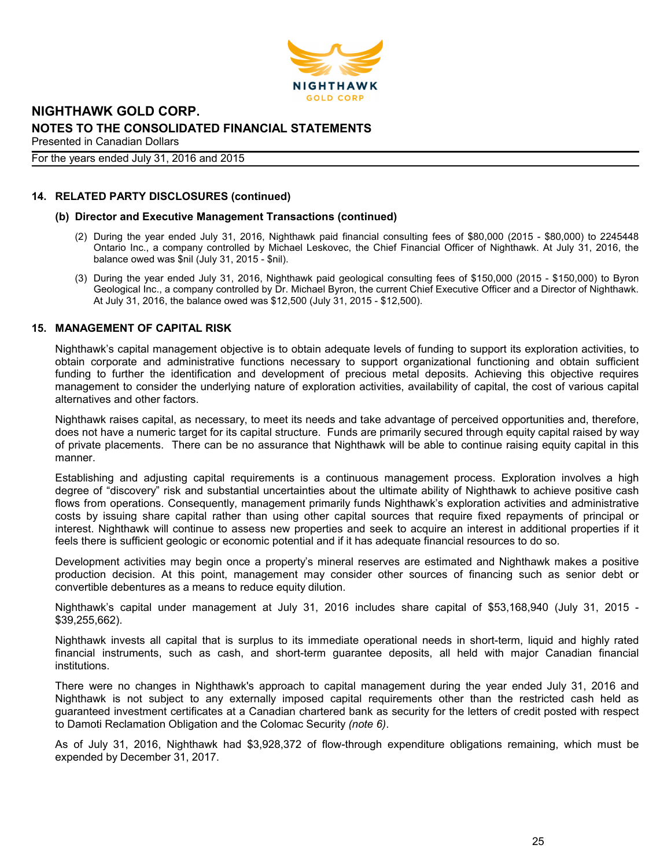

For the years ended July 31, 2016 and 2015

## **14. RELATED PARTY DISCLOSURES (continued)**

#### **(b) Director and Executive Management Transactions (continued)**

- (2) During the year ended July 31, 2016, Nighthawk paid financial consulting fees of \$80,000 (2015 \$80,000) to 2245448 Ontario Inc., a company controlled by Michael Leskovec, the Chief Financial Officer of Nighthawk. At July 31, 2016, the balance owed was \$nil (July 31, 2015 - \$nil).
- (3) During the year ended July 31, 2016, Nighthawk paid geological consulting fees of \$150,000 (2015 \$150,000) to Byron Geological Inc., a company controlled by Dr. Michael Byron, the current Chief Executive Officer and a Director of Nighthawk. At July 31, 2016, the balance owed was \$12,500 (July 31, 2015 - \$12,500).

## **15. MANAGEMENT OF CAPITAL RISK**

Nighthawk's capital management objective is to obtain adequate levels of funding to support its exploration activities, to obtain corporate and administrative functions necessary to support organizational functioning and obtain sufficient funding to further the identification and development of precious metal deposits. Achieving this objective requires management to consider the underlying nature of exploration activities, availability of capital, the cost of various capital alternatives and other factors.

Nighthawk raises capital, as necessary, to meet its needs and take advantage of perceived opportunities and, therefore, does not have a numeric target for its capital structure. Funds are primarily secured through equity capital raised by way of private placements. There can be no assurance that Nighthawk will be able to continue raising equity capital in this manner.

Establishing and adjusting capital requirements is a continuous management process. Exploration involves a high degree of "discovery" risk and substantial uncertainties about the ultimate ability of Nighthawk to achieve positive cash flows from operations. Consequently, management primarily funds Nighthawk's exploration activities and administrative costs by issuing share capital rather than using other capital sources that require fixed repayments of principal or interest. Nighthawk will continue to assess new properties and seek to acquire an interest in additional properties if it feels there is sufficient geologic or economic potential and if it has adequate financial resources to do so.

Development activities may begin once a property's mineral reserves are estimated and Nighthawk makes a positive production decision. At this point, management may consider other sources of financing such as senior debt or convertible debentures as a means to reduce equity dilution.

Nighthawk's capital under management at July 31, 2016 includes share capital of \$53,168,940 (July 31, 2015 - \$39,255,662).

Nighthawk invests all capital that is surplus to its immediate operational needs in short-term, liquid and highly rated financial instruments, such as cash, and short-term guarantee deposits, all held with major Canadian financial institutions.

There were no changes in Nighthawk's approach to capital management during the year ended July 31, 2016 and Nighthawk is not subject to any externally imposed capital requirements other than the restricted cash held as guaranteed investment certificates at a Canadian chartered bank as security for the letters of credit posted with respect to Damoti Reclamation Obligation and the Colomac Security *(note 6)*.

As of July 31, 2016, Nighthawk had \$3,928,372 of flow-through expenditure obligations remaining, which must be expended by December 31, 2017.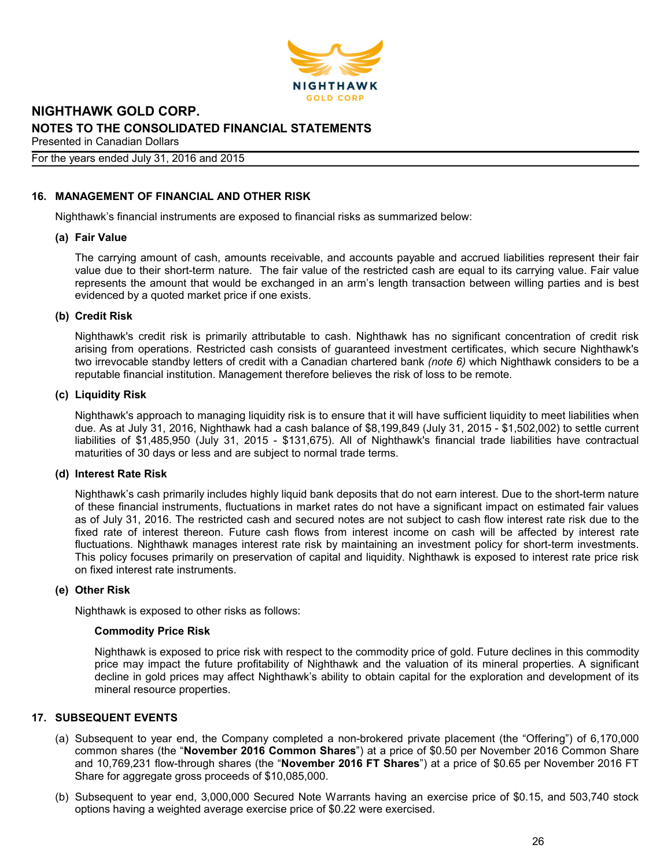

#### For the years ended July 31, 2016 and 2015

## **16. MANAGEMENT OF FINANCIAL AND OTHER RISK**

Nighthawk's financial instruments are exposed to financial risks as summarized below:

#### **(a) Fair Value**

The carrying amount of cash, amounts receivable, and accounts payable and accrued liabilities represent their fair value due to their short-term nature. The fair value of the restricted cash are equal to its carrying value. Fair value represents the amount that would be exchanged in an arm's length transaction between willing parties and is best evidenced by a quoted market price if one exists.

#### **(b) Credit Risk**

Nighthawk's credit risk is primarily attributable to cash. Nighthawk has no significant concentration of credit risk arising from operations. Restricted cash consists of guaranteed investment certificates, which secure Nighthawk's two irrevocable standby letters of credit with a Canadian chartered bank *(note 6)* which Nighthawk considers to be a reputable financial institution. Management therefore believes the risk of loss to be remote.

#### **(c) Liquidity Risk**

Nighthawk's approach to managing liquidity risk is to ensure that it will have sufficient liquidity to meet liabilities when due. As at July 31, 2016, Nighthawk had a cash balance of \$8,199,849 (July 31, 2015 - \$1,502,002) to settle current liabilities of \$1,485,950 (July 31, 2015 - \$131,675). All of Nighthawk's financial trade liabilities have contractual maturities of 30 days or less and are subject to normal trade terms.

## **(d) Interest Rate Risk**

Nighthawk's cash primarily includes highly liquid bank deposits that do not earn interest. Due to the short-term nature of these financial instruments, fluctuations in market rates do not have a significant impact on estimated fair values as of July 31, 2016. The restricted cash and secured notes are not subject to cash flow interest rate risk due to the fixed rate of interest thereon. Future cash flows from interest income on cash will be affected by interest rate fluctuations. Nighthawk manages interest rate risk by maintaining an investment policy for short-term investments. This policy focuses primarily on preservation of capital and liquidity. Nighthawk is exposed to interest rate price risk on fixed interest rate instruments.

#### **(e) Other Risk**

Nighthawk is exposed to other risks as follows:

#### **Commodity Price Risk**

Nighthawk is exposed to price risk with respect to the commodity price of gold. Future declines in this commodity price may impact the future profitability of Nighthawk and the valuation of its mineral properties. A significant decline in gold prices may affect Nighthawk's ability to obtain capital for the exploration and development of its mineral resource properties.

# **17. SUBSEQUENT EVENTS**

- (a) Subsequent to year end, the Company completed a non-brokered private placement (the "Offering") of 6,170,000 common shares (the "**November 2016 Common Shares**") at a price of \$0.50 per November 2016 Common Share and 10,769,231 flow-through shares (the "**November 2016 FT Shares**") at a price of \$0.65 per November 2016 FT Share for aggregate gross proceeds of \$10,085,000.
- (b) Subsequent to year end, 3,000,000 Secured Note Warrants having an exercise price of \$0.15, and 503,740 stock options having a weighted average exercise price of \$0.22 were exercised.